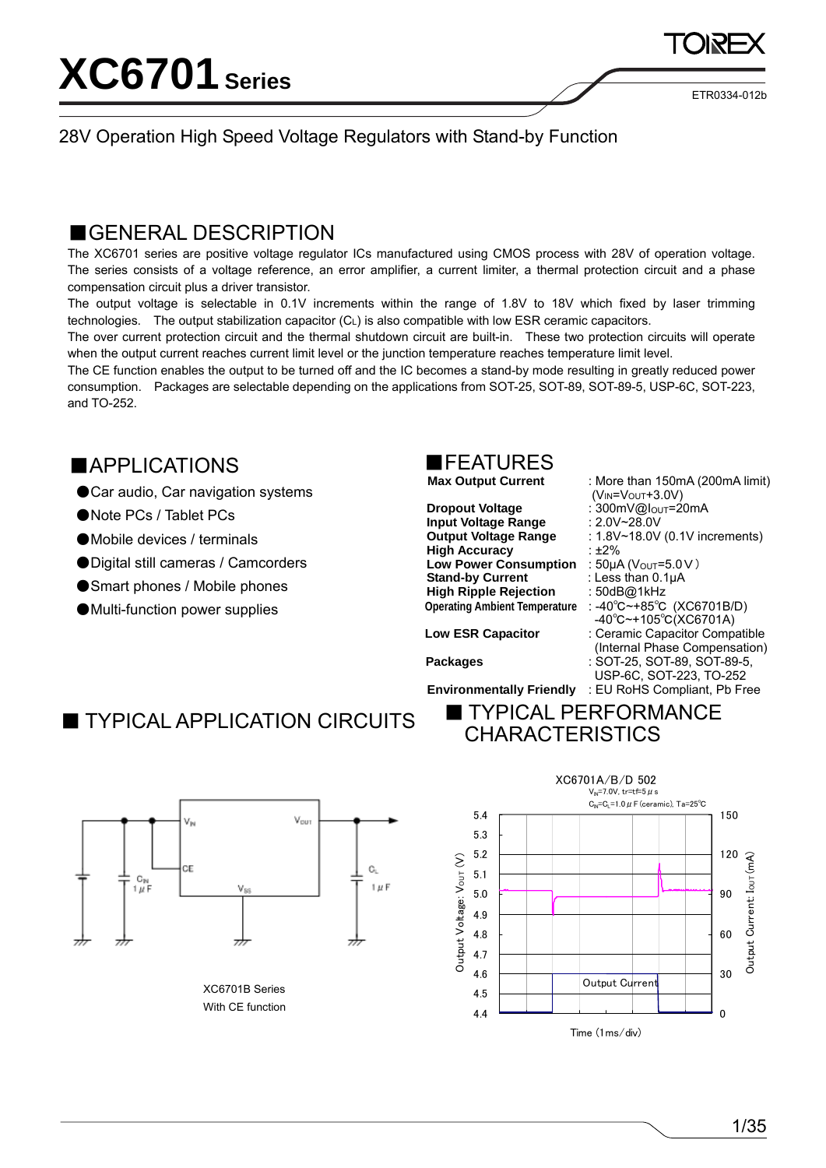ETR0334-012b

#### 28V Operation High Speed Voltage Regulators with Stand-by Function

### ■GENERAL DESCRIPTION

The XC6701 series are positive voltage regulator ICs manufactured using CMOS process with 28V of operation voltage. The series consists of a voltage reference, an error amplifier, a current limiter, a thermal protection circuit and a phase compensation circuit plus a driver transistor.

The output voltage is selectable in 0.1V increments within the range of 1.8V to 18V which fixed by laser trimming technologies. The output stabilization capacitor (CL) is also compatible with low ESR ceramic capacitors.

The over current protection circuit and the thermal shutdown circuit are built-in. These two protection circuits will operate when the output current reaches current limit level or the junction temperature reaches temperature limit level.

The CE function enables the output to be turned off and the IC becomes a stand-by mode resulting in greatly reduced power consumption. Packages are selectable depending on the applications from SOT-25, SOT-89, SOT-89-5, USP-6C, SOT-223, and TO-252.

### ■APPLICATIONS

- Car audio, Car navigation systems
- ●Note PCs / Tablet PCs
- ●Mobile devices / terminals
- Digital still cameras / Camcorders
- Smart phones / Mobile phones
- Multi-function power supplies



**Dropout Voltage** : 300mV@I<sub>OUT</sub>=20mA<br> **Input Voltage Range** : 2.0V~28.0V **Input Voltage Range High Accuracy** : ±2% **Low Power Consumption** :  $50\mu$ A ( $V_{OUT} = 5.0V$ ) **Stand-by Current** : Less than 0.1μA **High Ripple Rejection** : 50dB@1kHz

(VIN=VOUT+3.0V) **Output Voltage Range : 1.8V~18.0V (0.1V increments) Operating Ambient Temperature** : -40℃~+85℃ (XC6701B/D) -40℃~+105℃(XC6701A) **Low ESR Capacitor** : Ceramic Capacitor Compatible (Internal Phase Compensation) **Packages** : SOT-25, SOT-89, SOT-89-5, USP-6C, SOT-223, TO-252

: More than 150mA (200mA limit)

**Environmentally Friendly** : EU RoHS Compliant, Pb Free

■ TYPICAL APPLICATION CIRCUITS ■ TYPICAL PERFORMANCE

**CHARACTERISTICS** 



XC6701B Series With CE function

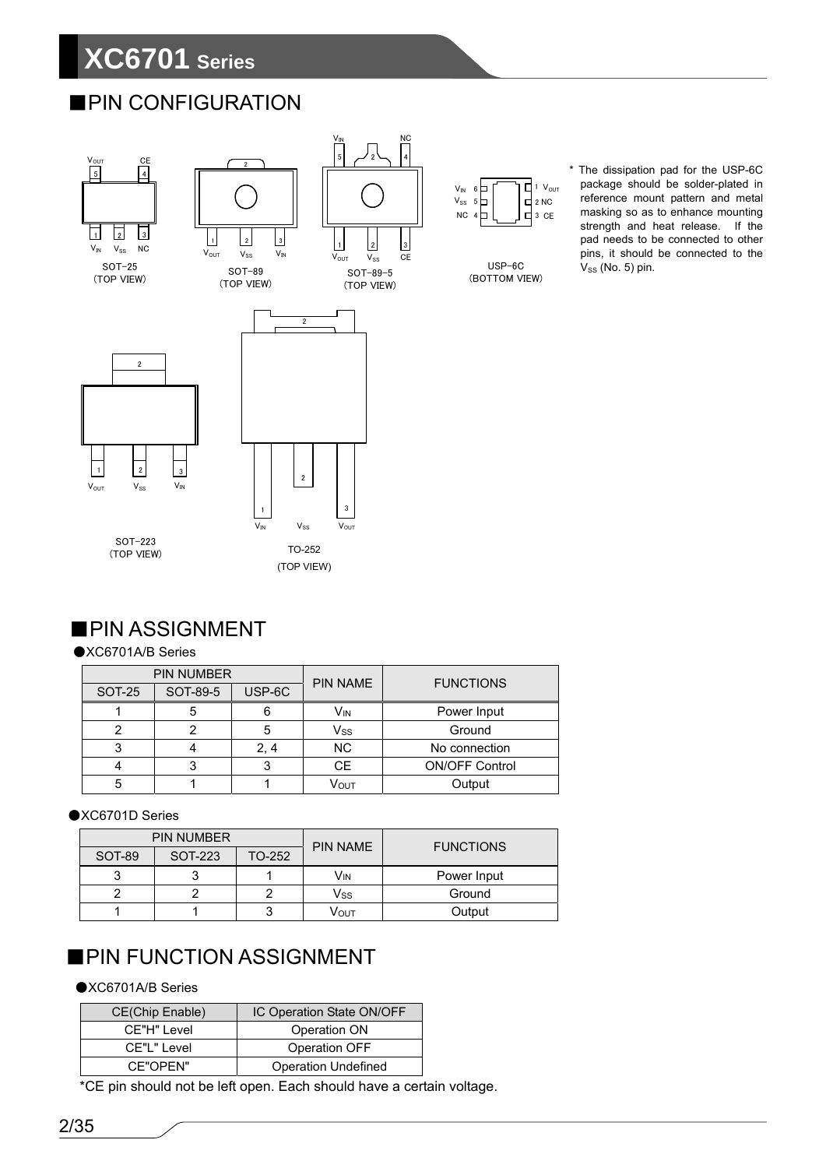# **XC6701 Series**

### ■PIN CONFIGURATION





SOT-89-5 (TOP VIEW)

3

USP-6C (BOTTOM VIEW)

2 NC

\* The dissipation pad for the USP-6C package should be solder-plated in reference mount pattern and metal masking so as to enhance mounting strength and heat release. If the pad needs to be connected to other pins, it should be connected to the  $V_{SS}$  (No. 5) pin.

### ■PIN ASSIGNMENT

#### ●XC6701A/B Series

|        | <b>PIN NUMBER</b> |        | <b>PIN NAME</b><br><b>FUNCTIONS</b> |                       |  |  |
|--------|-------------------|--------|-------------------------------------|-----------------------|--|--|
| SOT-25 | SOT-89-5          | USP-6C |                                     |                       |  |  |
|        |                   |        | Vın                                 | Power Input           |  |  |
|        |                   | 5      | $\mathsf{V}_{\mathsf{SS}}$          | Ground                |  |  |
|        |                   | 2, 4   | <b>NC</b>                           | No connection         |  |  |
|        |                   |        | <b>CE</b>                           | <b>ON/OFF Control</b> |  |  |
| 5      |                   |        | Vουτ                                | Output                |  |  |

#### ●XC6701D Series

| <b>PIN NUMBER</b> |         |        | <b>PIN NAME</b> | <b>FUNCTIONS</b> |  |
|-------------------|---------|--------|-----------------|------------------|--|
| SOT-89            | SOT-223 | TO-252 |                 |                  |  |
|                   |         |        | Vın             | Power Input      |  |
|                   |         |        | Vss             | Ground           |  |
|                   |         |        | <b>VOUT</b>     | Output           |  |

### ■PIN FUNCTION ASSIGNMENT

#### ●XC6701A/B Series

| CE(Chip Enable) | IC Operation State ON/OFF  |
|-----------------|----------------------------|
| CE"H" Level     | Operation ON               |
| CE"L" Level     | Operation OFF              |
| CF"OPFN"        | <b>Operation Undefined</b> |

\*CE pin should not be left open. Each should have a certain voltage.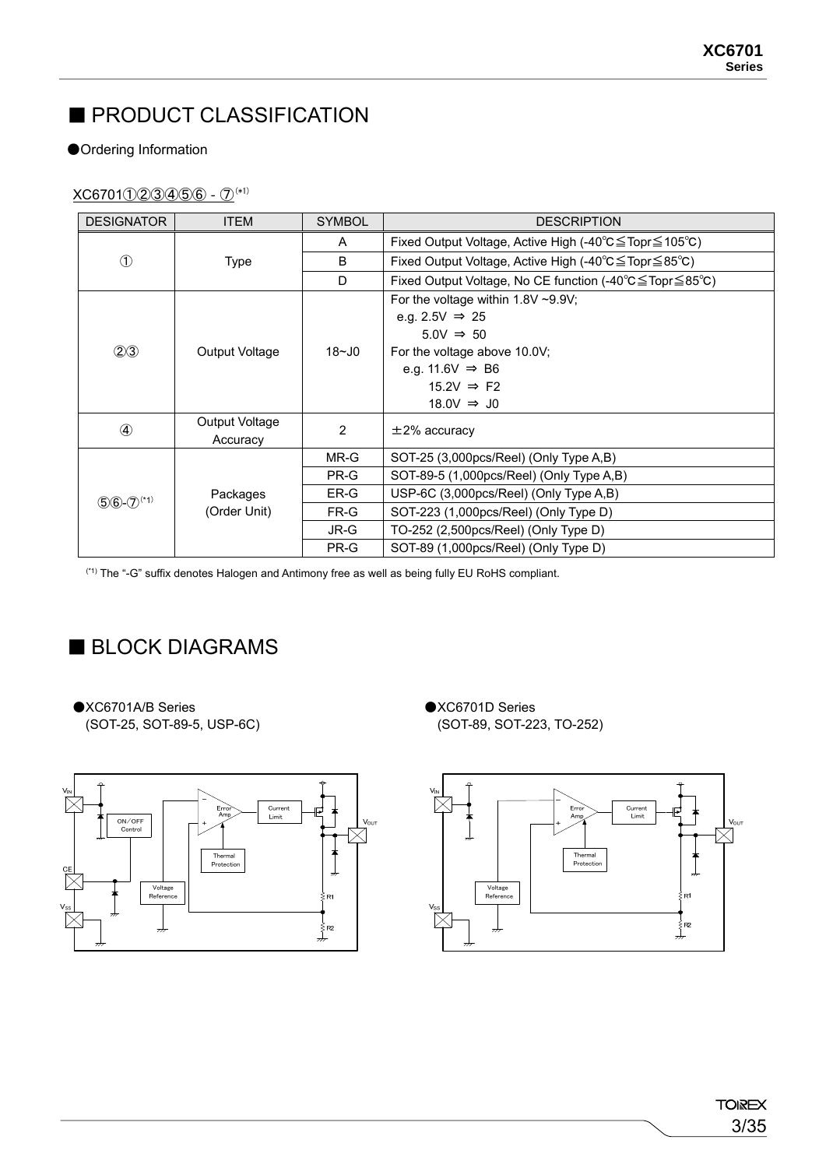# ■ PRODUCT CLASSIFICATION

#### ●Ordering Information

#### XC6701①②③④⑤⑥‐⑦(\*1)

| <b>DESIGNATOR</b>          | <b>ITEM</b>    | <b>SYMBOL</b> | <b>DESCRIPTION</b>                                     |
|----------------------------|----------------|---------------|--------------------------------------------------------|
|                            |                | A             | Fixed Output Voltage, Active High (-40°C≦Topr≦105°C)   |
| $\bigcirc$                 | <b>Type</b>    | B             | Fixed Output Voltage, Active High (-40°C≦Topr≦85°C)    |
|                            |                | D             | Fixed Output Voltage, No CE function (-40°C≦Topr≦85°C) |
|                            |                |               | For the voltage within $1.8V \sim 9.9V$ ;              |
|                            |                |               | e.g. 2.5V $\Rightarrow$ 25                             |
|                            |                |               | $5.0V \Rightarrow 50$                                  |
| (2)3                       | Output Voltage | $18 - 10$     | For the voltage above 10.0V;                           |
|                            |                |               | e.g. 11.6V $\Rightarrow$ B6                            |
|                            |                |               | $15.2V \Rightarrow F2$                                 |
|                            |                |               | $18.0V \Rightarrow$ J0                                 |
| $\circled{4}$              | Output Voltage | 2             | $\pm$ 2% accuracy                                      |
|                            | Accuracy       |               |                                                        |
|                            |                | MR-G          | SOT-25 (3,000pcs/Reel) (Only Type A,B)                 |
|                            |                | PR-G          | SOT-89-5 (1,000pcs/Reel) (Only Type A,B)               |
| $(5)6-(7)$ <sup>(*1)</sup> | Packages       | ER-G          | USP-6C (3,000pcs/Reel) (Only Type A,B)                 |
|                            | (Order Unit)   | FR-G          | SOT-223 (1,000pcs/Reel) (Only Type D)                  |
|                            |                | JR-G          | TO-252 (2,500pcs/Reel) (Only Type D)                   |
|                            |                | PR-G          | SOT-89 (1,000pcs/Reel) (Only Type D)                   |

(\*1) The "-G" suffix denotes Halogen and Antimony free as well as being fully EU RoHS compliant.

### ■ BLOCK DIAGRAMS

●XC6701A/B Series (SOT-25, SOT-89-5, USP-6C) ●XC6701D Series (SOT-89, SOT-223, TO-252)



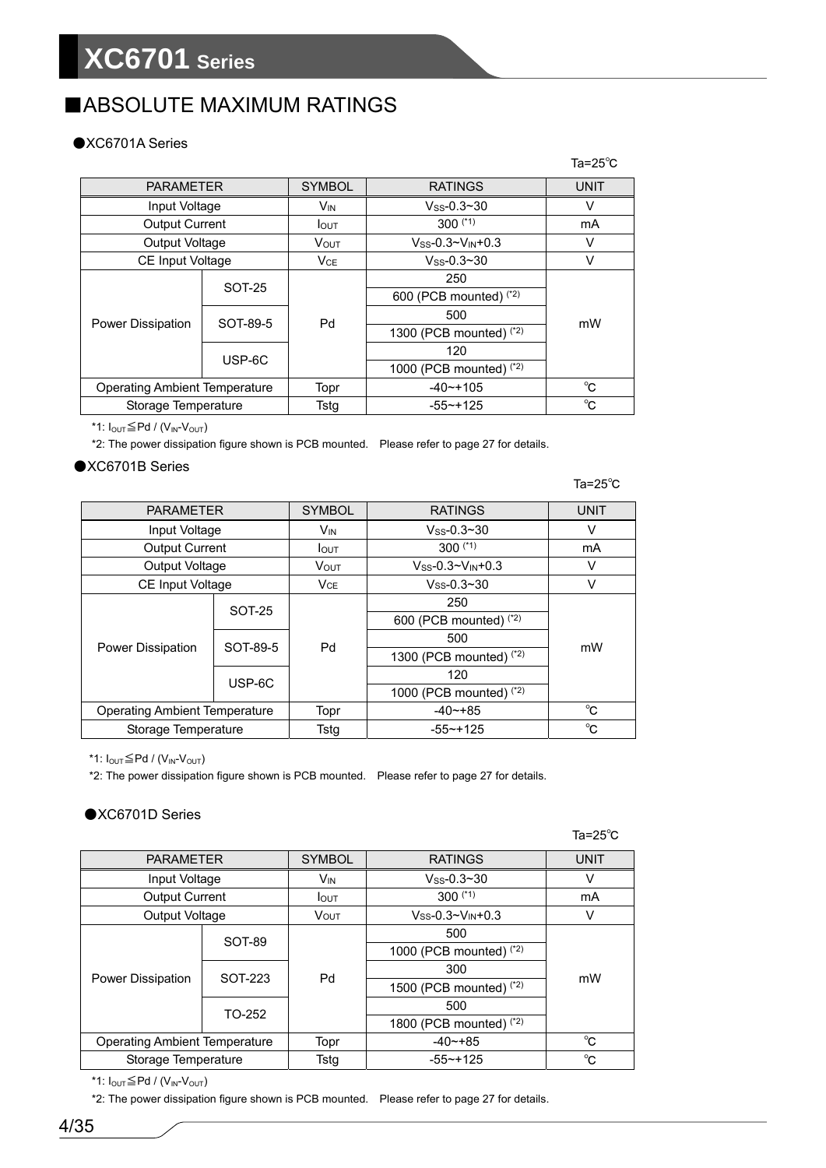# ■ABSOLUTE MAXIMUM RATINGS

#### ●XC6701A Series

|                                      |          |                 |                               | Ta=25 $^{\circ}$ C |  |
|--------------------------------------|----------|-----------------|-------------------------------|--------------------|--|
| <b>PARAMETER</b>                     |          | <b>SYMBOL</b>   | <b>RATINGS</b>                | <b>UNIT</b>        |  |
| Input Voltage                        |          | V <sub>IN</sub> | $V_{SS} - 0.3 - 30$           | v                  |  |
| <b>Output Current</b>                |          | <b>I</b> OUT    | $300$ $(1)$                   | mA                 |  |
| <b>Output Voltage</b>                |          | <b>VOUT</b>     | $V_{SS} - 0.3 - V_{IN} + 0.3$ | v                  |  |
| CE Input Voltage                     |          | VCE             | $V_{\rm SS}$ -0.3~30          | v                  |  |
|                                      | SOT-25   |                 | 250                           |                    |  |
|                                      |          |                 | 600 (PCB mounted) (*2)        |                    |  |
|                                      |          | Pd              | 500                           |                    |  |
| Power Dissipation                    | SOT-89-5 |                 | 1300 (PCB mounted) $(2)$      | mW                 |  |
|                                      | USP-6C   |                 | 120                           |                    |  |
|                                      |          |                 | 1000 (PCB mounted) $(2)$      |                    |  |
| <b>Operating Ambient Temperature</b> |          | Topr            | $-40$ ~+105                   | °C.                |  |
| Storage Temperature                  |          | Tstg            | $-55 - +125$                  | °C                 |  |

\*1:  $I_{OUT} \leq Pd / (V_{IN} - V_{OUT})$ 

\*2: The power dissipation figure shown is PCB mounted. Please refer to page 27 for details.

#### ●XC6701B Series

Ta=25℃

| <b>PARAMETER</b>                     |               | <b>SYMBOL</b>         | <b>RATINGS</b>               | <b>UNIT</b> |  |
|--------------------------------------|---------------|-----------------------|------------------------------|-------------|--|
| Input Voltage                        |               | <b>V<sub>IN</sub></b> | $V_{SS} - 0.3 - 30$          | v           |  |
| <b>Output Current</b>                |               | <b>I</b> OUT          | $300$ (*1)                   | mA          |  |
| Output Voltage                       |               | V <sub>OUT</sub>      | $V_{SS}$ -0.3~ $V_{IN}$ +0.3 | ν           |  |
| CE Input Voltage                     |               | VCE                   | $V$ ss-0.3~30                | v           |  |
|                                      | <b>SOT-25</b> |                       | 250                          |             |  |
|                                      |               |                       | 600 (PCB mounted) (*2)       |             |  |
| Power Dissipation                    | SOT-89-5      | Pd                    | 500                          | mW          |  |
|                                      |               |                       | 1300 (PCB mounted) $(2)$     |             |  |
|                                      | USP-6C        |                       | 120                          |             |  |
|                                      |               |                       | 1000 (PCB mounted) $(2)$     |             |  |
| <b>Operating Ambient Temperature</b> |               | Topr                  | $-40$ $-+85$                 | $^{\circ}C$ |  |
| Storage Temperature                  |               | Tsta                  | $-55$ ~+125                  | °C          |  |

\*1:  $I_{OUT} \leq Pd / (V_{IN} - V_{OUT})$ 

\*2: The power dissipation figure shown is PCB mounted. Please refer to page 27 for details.

#### ●XC6701D Series

|                                      |         |                       |                           | Ta=25 $^{\circ}$ C |
|--------------------------------------|---------|-----------------------|---------------------------|--------------------|
| <b>PARAMETER</b>                     |         | <b>SYMBOL</b>         | <b>RATINGS</b>            | <b>UNIT</b>        |
| Input Voltage                        |         | <b>V<sub>IN</sub></b> | $V$ ss-0.3~30             | v                  |
| <b>Output Current</b>                |         | <b>I</b> OUT          | $300$ (*1)                | mA                 |
| Output Voltage                       |         | <b>VOUT</b>           | $V$ ss-0.3~ $V_{IN}$ +0.3 | ٧                  |
|                                      | SOT-89  |                       | 500                       |                    |
|                                      |         |                       | 1000 (PCB mounted) $(2)$  |                    |
| <b>Power Dissipation</b>             | SOT-223 | Pd                    | 300                       | mW                 |
|                                      |         |                       | 1500 (PCB mounted) $(2)$  |                    |
|                                      |         |                       | 500                       |                    |
|                                      | TO-252  |                       | 1800 (PCB mounted) $(2)$  |                    |
| <b>Operating Ambient Temperature</b> |         | Topr                  | $-40$ $-+85$              | $^{\circ}C$        |
| Storage Temperature                  |         | Tstg                  | $-55 - +125$              | $^{\circ}$ C       |

\*1:  $I_{\text{OUT}}{\leq}P$ d / ( $V_{\text{IN}}$ - $V_{\text{OUT}}$ )

\*2: The power dissipation figure shown is PCB mounted. Please refer to page 27 for details.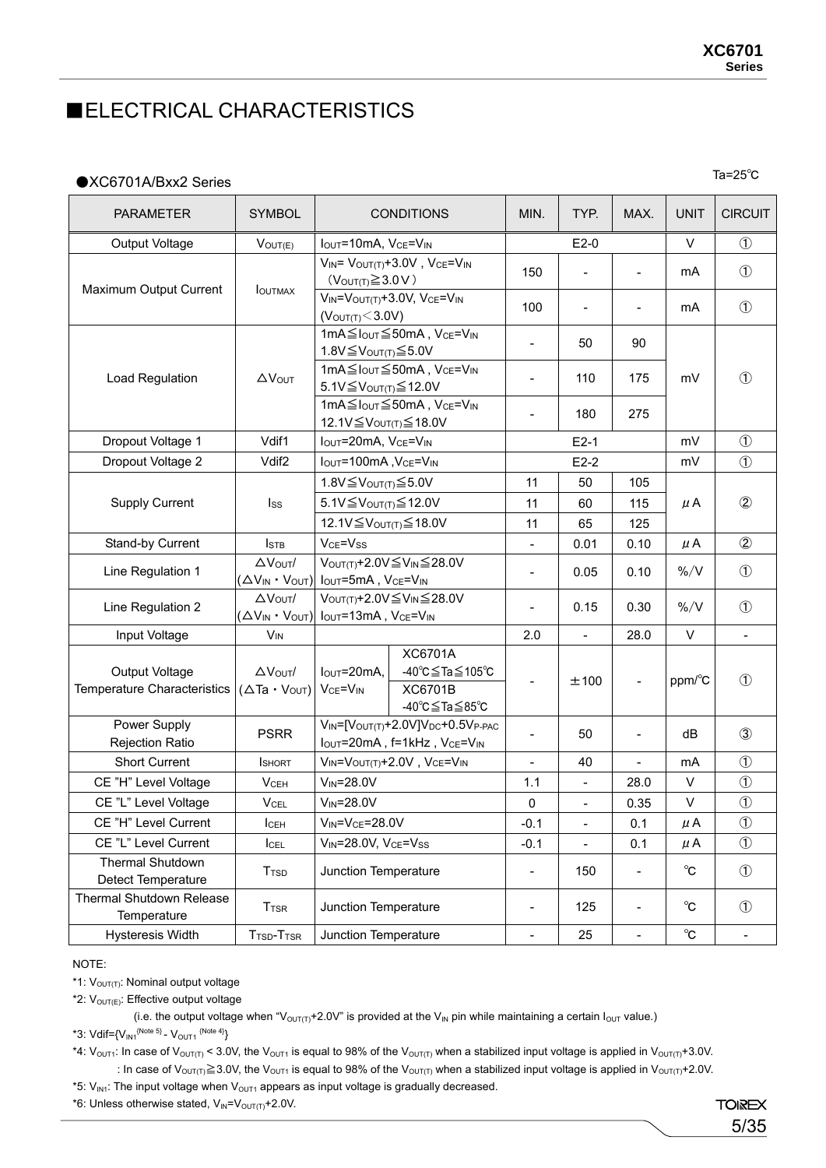### ■ELECTRICAL CHARACTERISTICS

#### ●XC6701A/Bxx2 Series

Ta=25℃

| <b>PARAMETER</b>                               | <b>SYMBOL</b>                                               |                                                                                                | <b>CONDITIONS</b>                                                                                                                 | MIN.                     | TYP.                     | MAX.                     | <b>UNIT</b>         | <b>CIRCUIT</b>           |
|------------------------------------------------|-------------------------------------------------------------|------------------------------------------------------------------------------------------------|-----------------------------------------------------------------------------------------------------------------------------------|--------------------------|--------------------------|--------------------------|---------------------|--------------------------|
| Output Voltage                                 | $V_{OUT(E)}$                                                | IOUT=10mA, VCE=VIN                                                                             |                                                                                                                                   | $E2-0$                   |                          | $\vee$                   | $\circled{1}$       |                          |
| Maximum Output Current                         |                                                             | $(V_{\text{OUT(T)}} \geq 3.0 V)$                                                               | $V_{IN} = V_{OUT(T)} + 3.0V$ , $V_{CE} = V_{IN}$                                                                                  | 150                      | $\overline{\phantom{a}}$ | $\overline{\phantom{0}}$ | mA                  | $\circled{1}$            |
|                                                | <b>IOUTMAX</b>                                              | (V <sub>OUT(T)</sub> < 3.0V)                                                                   | $V_{IN} = V_{OUT(T)} + 3.0V$ , $V_{CE} = V_{IN}$                                                                                  | 100                      | $\overline{\phantom{a}}$ | $\overline{\phantom{0}}$ | mA                  | $\circled{1}$            |
|                                                |                                                             | 1.8V≦Vout(T) ≤5.0V                                                                             | 1mA≦Iout ≤50mA, VcE=VIN                                                                                                           | $\overline{\phantom{a}}$ | 50                       | 90                       |                     |                          |
| Load Regulation                                | $\Delta V_{\text{OUT}}$                                     | 5.1V≦V <sub>OUT(T)</sub> ≤ 12.0V                                                               | 1mA≦Iout ≤50mA, VcE=V <sub>IN</sub>                                                                                               | $\overline{\phantom{0}}$ | 110                      | 175                      | mV                  | $\circled{1}$            |
|                                                |                                                             | 12.1V≦V <sub>OUT(T)</sub> ≤ 18.0V                                                              | 1mA $\leq$ I <sub>OUT</sub> $\leq$ 50mA, V <sub>CE</sub> =V <sub>IN</sub>                                                         |                          | 180                      | 275                      |                     |                          |
| Dropout Voltage 1                              | Vdif1                                                       | IOUT=20mA, VCE=VIN                                                                             |                                                                                                                                   |                          | $E2-1$                   |                          | mV                  | $\circled{1}$            |
| Dropout Voltage 2                              | Vdif <sub>2</sub>                                           | IOUT=100mA, VCE=VIN                                                                            |                                                                                                                                   |                          | $E2-2$                   |                          | mV                  | $\circled{1}$            |
|                                                |                                                             | 1.8V $\leq$ Vout(T) $\leq$ 5.0V                                                                |                                                                                                                                   | 11                       | 50                       | 105                      |                     |                          |
| <b>Supply Current</b>                          | Iss                                                         | 5.1V≦V <sub>OUT(T)</sub> ≤ 12.0V                                                               |                                                                                                                                   | 11                       | 60                       | 115                      | μA                  | $\circled{2}$            |
|                                                |                                                             | 12.1V≦V <sub>OUT(T)</sub> ≤ 18.0V                                                              |                                                                                                                                   | 11                       | 65                       | 125                      |                     |                          |
| Stand-by Current                               | <b>ISTB</b>                                                 | V <sub>CE</sub> =V <sub>ss</sub>                                                               |                                                                                                                                   | $\frac{1}{2}$            | 0.01                     | 0.10                     | $\mu$ A             | $^{\circledR}$           |
| Line Regulation 1                              | $\Delta V_{\text{OUT}}/$<br>$(\Delta V_{IN} \cdot V_{OUT})$ | VOUT(T)+2.0V≦VIN≦28.0V<br>Iout=5mA, VcE=VIN                                                    |                                                                                                                                   | $\overline{\phantom{a}}$ | 0.05                     | 0.10                     | $\%$ /V             | $\circled{1}$            |
| Line Regulation 2                              | $\Delta V_{\text{OUT}}/$                                    | VOUT(T)+2.0V≦VIN≦28.0V<br>$(\Delta V_{IN} \cdot V_{OUT})$ $I_{OUT}$ =13mA, $V_{CE}$ = $V_{IN}$ |                                                                                                                                   | $\blacksquare$           | 0.15                     | 0.30                     | $\% / V$            | $\circled{1}$            |
| Input Voltage                                  | $V_{IN}$                                                    |                                                                                                |                                                                                                                                   | 2.0                      | $\blacksquare$           | 28.0                     | $\vee$              | $\overline{\phantom{a}}$ |
| Output Voltage<br>Temperature Characteristics  | $\Delta V_{\text{OUT}}/$<br>$(\Delta$ Ta $\cdot$ Vout)      | Iout=20mA,<br>V <sub>CE</sub> =V <sub>IN</sub>                                                 | XC6701A<br>-40°C≦Ta≦105°C<br>XC6701B<br>-40°C≦Ta≦85°C                                                                             |                          | ±100                     | $\overline{\phantom{0}}$ | ppm/°C              | $\circled{1}$            |
| Power Supply<br><b>Rejection Ratio</b>         | <b>PSRR</b>                                                 |                                                                                                | $V_{IN}$ =[ $V_{OUT(T)}$ +2.0V] $V_{DC}$ +0.5 $V_{P\text{-}PAC}$<br>$I_{\text{OUT}}$ =20mA, f=1kHz, $V_{\text{CE}}=V_{\text{IN}}$ | $\overline{\phantom{0}}$ | 50                       | $\overline{\phantom{0}}$ | dB                  | $\circled{3}$            |
| <b>Short Current</b>                           | <b>I</b> SHORT                                              |                                                                                                | $V_{IN} = V_{OUT(T)} + 2.0V$ , $V_{CE} = V_{IN}$                                                                                  |                          | 40                       |                          | mA                  | $\circled{1}$            |
| CE "H" Level Voltage                           | <b>VCEH</b>                                                 | $V_{IN} = 28.0V$                                                                               |                                                                                                                                   | 1.1                      | $\blacksquare$           | 28.0                     | V                   | $\circled{1}$            |
| CE "L" Level Voltage                           | <b>V</b> CEL                                                | $V_{IN} = 28.0V$                                                                               |                                                                                                                                   | 0                        | $\frac{1}{2}$            | 0.35                     | $\vee$              | $\circled{1}$            |
| CE "H" Level Current                           | ICEH                                                        | $V_{IN} = V_{CE} = 28.0V$                                                                      |                                                                                                                                   | $-0.1$                   | $\blacksquare$           | 0.1                      | μA                  | $\circled{1}$            |
| CE "L" Level Current                           | ICEL                                                        | $V_{IN}$ =28.0V, $V_{CE}$ = $V_{SS}$                                                           |                                                                                                                                   | $-0.1$                   | $\overline{\phantom{a}}$ | 0.1                      | μA                  | $\circled{1}$            |
| Thermal Shutdown<br>Detect Temperature         | <b>T</b> <sub>TSD</sub>                                     | Junction Temperature                                                                           |                                                                                                                                   | $\overline{\phantom{0}}$ | 150                      | $\overline{a}$           | $^{\circ}$ C        | $\circled{1}$            |
| <b>Thermal Shutdown Release</b><br>Temperature | $T_{\rm TSR}$                                               | Junction Temperature                                                                           |                                                                                                                                   | $\overline{\phantom{0}}$ | 125                      | ÷                        | $^{\circ}$ C        | $\circled{1}$            |
| Hysteresis Width                               | T <sub>TSD</sub> -T <sub>TSR</sub>                          | Junction Temperature                                                                           |                                                                                                                                   | $\blacksquare$           | 25                       | $\blacksquare$           | $^{\circ}\!{\rm C}$ | $\blacksquare$           |

NOTE:

\*1: V<sub>OUT(T)</sub>: Nominal output voltage

\*2:  $V_{\text{OUT(E)}}$ : Effective output voltage

(i.e. the output voltage when "V<sub>OUT(T)</sub>+2.0V" is provided at the V<sub>IN</sub> pin while maintaining a certain I<sub>OUT</sub> value.)

\*3:  $Vdir={V_{IN1}}^{(Note 5)} - V_{OUT1} {^{(Note 4)}}$ 

\*4:  $V_{\text{OUT1}}$ : In case of  $V_{\text{OUT(T)}}$  < 3.0V, the  $V_{\text{OUT1}}$  is equal to 98% of the  $V_{\text{OUT(T)}}$  when a stabilized input voltage is applied in  $V_{\text{OUT(T)}}+3.0V$ . : In case of V<sub>OUT(T)</sub> $\geq$ 3.0V, the V<sub>OUT1</sub> is equal to 98% of the V<sub>OUT(T)</sub> when a stabilized input voltage is applied in V<sub>OUT(T)</sub>+2.0V.

\*5:  $V_{\text{INI}}$ : The input voltage when  $V_{\text{OUT1}}$  appears as input voltage is gradually decreased.

\*6: Unless otherwise stated,  $V_{IN} = V_{OUT(T)} + 2.0V$ .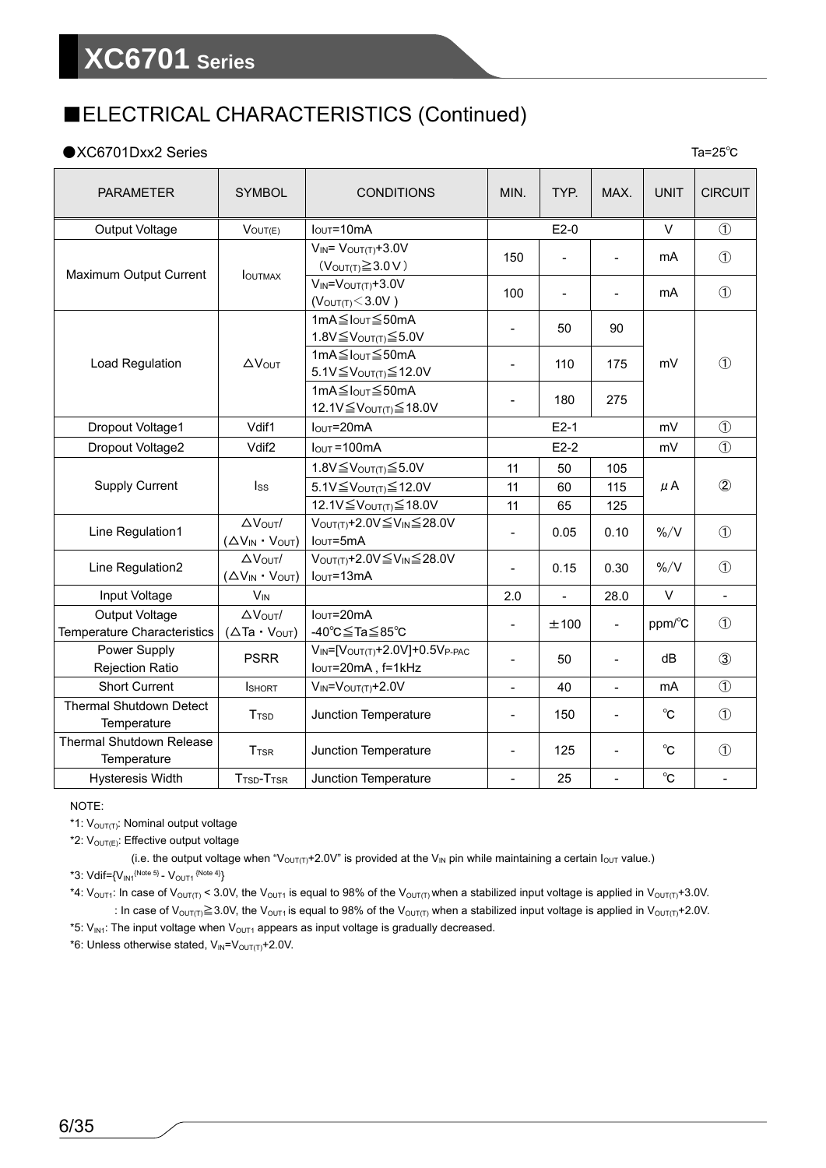#### ●XC6701Dxx2 Series

PARAMETER SYMBOL CONDITIONS MIN. TYP. MAX. UNIT CIRCUIT Output Voltage VOUT(E) IOUT=10mA E2-0 V ① Maximum Output Current | IOUTMAX  $V_{IN} = V_{OUT(T)} + 3.0V$ (V<sub>OUT(T)</sub> ≥ 3.0 V) 150 - - mA 0 VIN=VOUT(T)+3.0V  $(V_{\text{IV}} - V_{\text{OUT}(T)} > 3.0V)$  100 - - mA ① Load Regulation |  $\triangle V_{\text{OUT}}$ 1mA≦IOUT≦50mA  $1.8V \leq V_{\text{OUT(T)}} \leq 5.0V$  - 50 90  $1 \text{mA} \leq I_{\text{OUT}} \leq 50 \text{mA}$  |  $110$  |  $175$  |  $\text{mV}$  | 0  $5.1V \leq V_{\text{OUT(T)}} \leq 12.0V$ 1mA≦IOUT≦50mA 12.1V≦V<sub>OUT(T)</sub>≤18.0V  $\begin{vmatrix} -180 \\ -180 \end{vmatrix}$  275 Dropout Voltage1 Vdif1 IOUT=20mA E2-1 mV ① Dropout Voltage2  $\vert$  Vdif2  $\vert$  Iout =100mA E2-2 mV  $\vert$  mV  $\vert$  1 Supply Current ISS  $1.8\sqrt{\leq}V_{\text{OUT(T)}}\leq 5.0\sqrt{10}$  11 | 50 | 105  $5.1V \leq V_{\text{OUT(T)}}$ ≤12.0V | 11 | 60 | 115 | μA | ② 12.1V≦V<sub>OUT(T)</sub> ≤ 18.0V 11 65 125 Line Regulation1  $\overline{\Delta V_{\text{OUT}}}/$  $(\Delta V_{IN} \cdot V_{OUT})$ VOUT(T)+2.0V≦VIN≦28.0V  $I_{\text{OUT}}$ =5mA  $1 - \begin{bmatrix} 0.05 & 0.10 & % / V \\ 0.05 & 0.10 & 8 / V \\ 0 & 0 & 0.10 \end{bmatrix}$  4.0 Line Regulation2 △VOUT/ (△VIN・VOUT) VOUT(T)+2.0V≦VIN≦28.0V  $I_{\text{OUT}}$ =13mA  $\begin{vmatrix} -1 & 0.15 & 0.30 & 0.00 \\ 0 & -1 & 0 & 0.30 \end{vmatrix}$  %/V  $\begin{vmatrix} 0 & 0 & 0 \\ 0 & -1 & 0 \end{vmatrix}$ Input Voltage VIN 2.0 - 28.0 V - Output Voltage Temperature Characteristics △VOUT/  $(\Delta$ Ta · Vout) IOUT=20mA -40℃≦Ta≦85℃ - ±100 - ppm/℃ <sup>①</sup> Power Supply Power Supply<br>  $\begin{array}{c|c}\n\text{Power Supply} & & \text{PSRR} \\
\hline\n\text{Rejection Ratio} & & \text{I<sub>OUT</sub>=20mA, f=1kHz}\n\end{array}$  $I_{\text{OUT}} = 20 \text{mA}$ , f=1kHz  $I_{\text{OUT}} = 20 \text{mA}$ , f=1kHz Short Current  $I_{\text{SHORT}}$   $V_{\text{IN}}=V_{\text{OUT}(T)}+2.0V$   $-$  40 - mA  $\cup$  1 Thermal Shutdown Detect Temperature TT<sub>TSD</sub> Junction Temperature - 150 - <sup>o</sup>C <sup>o</sup>C <sup>o</sup> Thermal Shutdown Release  $T_{\text{TSR}}$  T<sub>TSR</sub> Junction Temperature  $T_{\text{SFR}}$  125 -  $\circ$  0 Hysteresis Width T<sub>TSD</sub>-T<sub>TSR</sub> Junction Temperature - 25 - © F

Ta=25℃

#### NOTE:

\*1: V<sub>OUT(T)</sub>: Nominal output voltage

\*2:  $V_{\text{OUT(E)}}$ : Effective output voltage

(i.e. the output voltage when "V<sub>OUT(T)</sub>+2.0V" is provided at the V<sub>IN</sub> pin while maintaining a certain  $I_{\text{OUT}}$  value.) \*3: Vdif={ $V_{IN1}^{(Note 5)} - V_{OUT1}^{(Note 4)}$ }

\*4:  $V_{\text{OUT1}}$ : In case of  $V_{\text{OUT(T)}}$  < 3.0V, the  $V_{\text{OUT1}}$  is equal to 98% of the  $V_{\text{OUT(T)}}$  when a stabilized input voltage is applied in  $V_{\text{OUT(T)}} + 3.0V$ . : In case of V<sub>OUT(T)</sub> ≧3.0V, the V<sub>OUT1</sub> is equal to 98% of the V<sub>OUT(T)</sub> when a stabilized input voltage is applied in V<sub>OUT(T)</sub>+2.0V.

\*5:  $V_{\text{INI}}$ : The input voltage when  $V_{\text{OUT1}}$  appears as input voltage is gradually decreased.

\*6: Unless otherwise stated,  $V_{IN} = V_{OUT(T)} + 2.0V$ .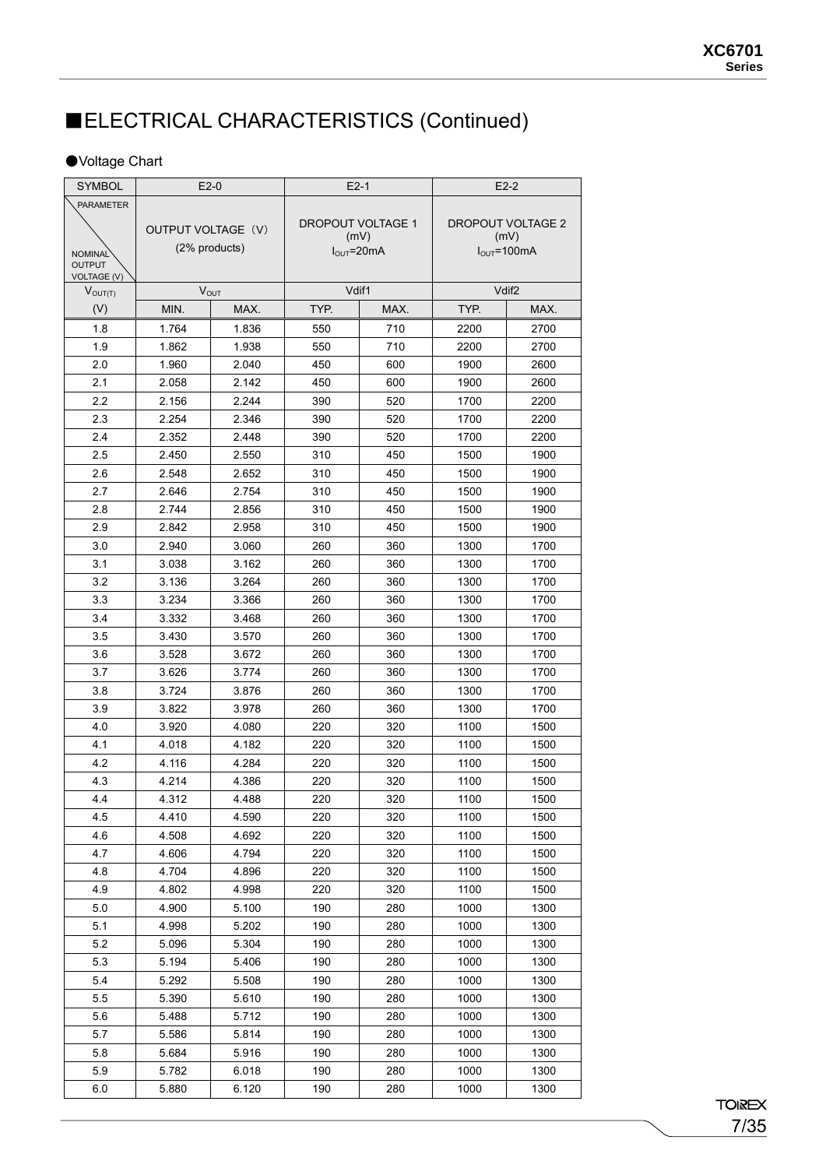#### ●Voltage Chart

| <b>SYMBOL</b>                       | $E2-0$                    |       | $E2-1$                   |                                 | $E2-2$            |                                  |
|-------------------------------------|---------------------------|-------|--------------------------|---------------------------------|-------------------|----------------------------------|
| <b>PARAMETER</b>                    |                           |       |                          |                                 |                   |                                  |
|                                     |                           |       | <b>DROPOUT VOLTAGE 1</b> |                                 | DROPOUT VOLTAGE 2 |                                  |
|                                     | <b>OUTPUT VOLTAGE (V)</b> |       |                          | (mV)                            |                   | (mV)                             |
| <b>NOMINAL</b>                      | (2% products)             |       |                          | $I_{\text{OUT}} = 20 \text{mA}$ |                   | $I_{\text{OUT}} = 100 \text{mA}$ |
| <b>OUTPUT</b><br><b>VOLTAGE (V)</b> |                           |       |                          |                                 |                   |                                  |
| $V_{OUT(T)}$                        | $V_{\text{OUT}}$          |       | Vdif1                    |                                 |                   | Vdif <sub>2</sub>                |
| (V)                                 | MIN.                      | MAX.  | TYP.                     | MAX.                            | TYP.              | MAX.                             |
| 1.8                                 | 1.764                     | 1.836 | 550                      | 710                             | 2200              | 2700                             |
| 1.9                                 | 1.862                     | 1.938 | 550                      | 710                             | 2200              | 2700                             |
| 2.0                                 | 1.960                     | 2.040 | 450                      | 600                             | 1900              | 2600                             |
| 2.1                                 | 2.058                     | 2.142 | 450                      | 600                             | 1900              | 2600                             |
| 2.2                                 | 2.156                     | 2.244 | 390                      | 520                             | 1700              | 2200                             |
| 2.3                                 | 2.254                     | 2.346 | 390                      | 520                             | 1700              | 2200                             |
| 2.4                                 | 2.352                     | 2.448 | 390                      | 520                             | 1700              | 2200                             |
| 2.5                                 | 2.450                     | 2.550 | 310                      | 450                             | 1500              | 1900                             |
| 2.6                                 | 2.548                     | 2.652 | 310                      | 450                             | 1500              | 1900                             |
| 2.7                                 | 2.646                     | 2.754 | 310                      | 450                             | 1500              | 1900                             |
| 2.8                                 | 2.744                     | 2.856 | 310                      | 450                             | 1500              | 1900                             |
| 2.9                                 | 2.842                     | 2.958 | 310                      | 450                             | 1500              | 1900                             |
| 3.0                                 | 2.940                     | 3.060 | 260                      | 360                             | 1300              | 1700                             |
| 3.1                                 | 3.038                     | 3.162 | 260                      | 360                             | 1300              | 1700                             |
| 3.2                                 | 3.136                     | 3.264 | 260                      | 360                             | 1300              | 1700                             |
| 3.3                                 | 3.234                     | 3.366 | 260                      | 360                             | 1300              | 1700                             |
| 3.4                                 | 3.332                     | 3.468 | 260                      | 360                             | 1300              | 1700                             |
| 3.5                                 | 3.430                     | 3.570 | 260                      | 360                             | 1300              | 1700                             |
| 3.6                                 | 3.528                     | 3.672 | 260                      | 360                             | 1300              | 1700                             |
| 3.7                                 | 3.626                     | 3.774 | 260                      | 360                             | 1300              | 1700                             |
| 3.8                                 | 3.724                     | 3.876 | 260                      | 360                             | 1300              | 1700                             |
| 3.9                                 | 3.822                     | 3.978 | 260                      | 360                             | 1300              | 1700                             |
| 4.0                                 | 3.920                     | 4.080 | 220                      | 320                             | 1100              | 1500                             |
| 4.1                                 | 4.018                     | 4.182 | 220                      | 320                             | 1100              | 1500                             |
| 4.2                                 | 4.116                     | 4.284 | 220                      | 320                             | 1100              | 1500                             |
| 4.3                                 | 4.214                     | 4.386 | 220                      | 320                             | 1100              | 1500                             |
| 4.4                                 | 4.312                     | 4.488 | 220                      | 320                             | 1100              | 1500                             |
| 45                                  | 4.410                     | 4.590 | 220                      | 320                             | 1100              | 1500                             |
| 4.6                                 | 4.508                     | 4.692 | 220                      | 320                             | 1100              | 1500                             |
| 4.7                                 | 4.606                     | 4.794 | 220                      | 320                             | 1100              | 1500                             |
| 4.8                                 | 4.704                     | 4.896 | 220                      | 320                             | 1100              | 1500                             |
| 4.9                                 | 4.802                     | 4.998 | 220                      | 320                             | 1100              | 1500                             |
| 5.0                                 | 4.900                     | 5.100 | 190                      | 280                             | 1000              | 1300                             |
| 5.1                                 | 4.998                     | 5.202 | 190                      | 280                             | 1000              | 1300                             |
| 5.2                                 | 5.096                     | 5.304 | 190                      | 280                             | 1000              | 1300                             |
| 5.3                                 | 5.194                     | 5.406 | 190                      | 280                             | 1000              | 1300                             |
| 5.4                                 | 5.292                     | 5.508 | 190                      | 280                             | 1000              | 1300                             |
| 5.5                                 | 5.390                     | 5.610 | 190                      | 280                             | 1000              | 1300                             |
| 5.6                                 | 5.488                     | 5.712 | 190                      | 280                             | 1000              | 1300                             |
| 5.7                                 | 5.586                     | 5.814 | 190                      | 280                             | 1000              | 1300                             |
| 5.8                                 | 5.684                     | 5.916 | 190                      | 280                             | 1000              | 1300                             |
| 5.9                                 | 5.782                     | 6.018 | 190                      | 280                             | 1000              | 1300                             |
| $6.0\,$                             | 5.880                     | 6.120 | 190                      | 280                             | 1000              | 1300                             |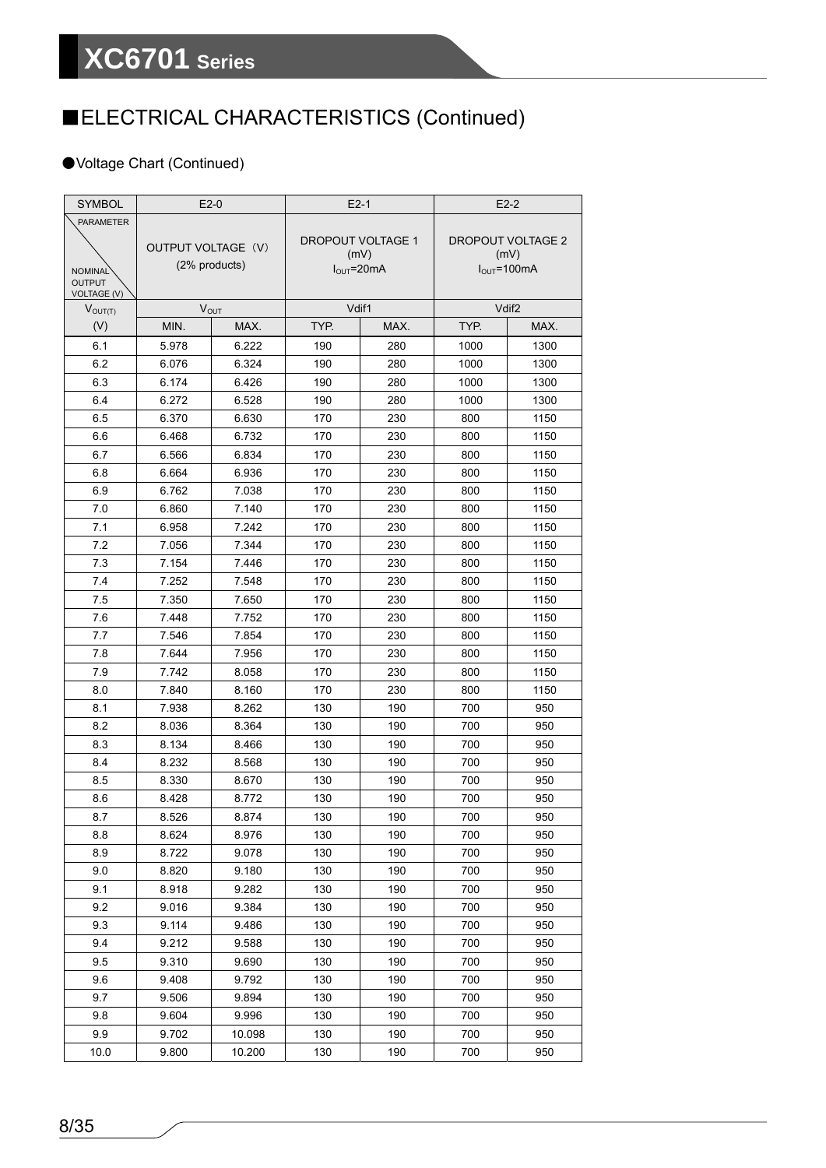#### ●Voltage Chart (Continued)

| <b>SYMBOL</b>                   | $E2-0$             |               | $E2-1$                   |      | $E2-2$                   |                                  |
|---------------------------------|--------------------|---------------|--------------------------|------|--------------------------|----------------------------------|
| <b>PARAMETER</b>                |                    |               |                          |      |                          |                                  |
|                                 | OUTPUT VOLTAGE (V) |               | <b>DROPOUT VOLTAGE 1</b> |      | <b>DROPOUT VOLTAGE 2</b> |                                  |
|                                 |                    | (2% products) |                          | (mV) |                          | (mV)                             |
| <b>NOMINAL</b><br><b>OUTPUT</b> |                    |               | $IOUT=20mA$              |      |                          | $I_{\text{OUT}} = 100 \text{mA}$ |
| <b>VOLTAGE (V)</b>              |                    |               |                          |      |                          |                                  |
| $V_{OUT(T)}$                    | $V_{OUT}$          |               | Vdif1                    |      |                          | Vdif <sub>2</sub>                |
| (V)                             | MIN.               | MAX.          | TYP.                     | MAX. | TYP.                     | MAX.                             |
| 6.1                             | 5.978              | 6.222         | 190                      | 280  | 1000                     | 1300                             |
| 6.2                             | 6.076              | 6.324         | 190                      | 280  | 1000                     | 1300                             |
| 6.3                             | 6.174              | 6.426         | 190                      | 280  | 1000                     | 1300                             |
| 6.4                             | 6.272              | 6.528         | 190                      | 280  | 1000                     | 1300                             |
| 6.5                             | 6.370              | 6.630         | 170                      | 230  | 800                      | 1150                             |
| 6.6                             | 6.468              | 6.732         | 170                      | 230  | 800                      | 1150                             |
| 6.7                             | 6.566              | 6.834         | 170                      | 230  | 800                      | 1150                             |
| 6.8                             | 6.664              | 6.936         | 170                      | 230  | 800                      | 1150                             |
| 6.9                             | 6.762              | 7.038         | 170                      | 230  | 800                      | 1150                             |
| 7.0                             | 6.860              | 7.140         | 170                      | 230  | 800                      | 1150                             |
| 7.1                             | 6.958              | 7.242         | 170                      | 230  | 800                      | 1150                             |
| 7.2                             | 7.056              | 7.344         | 170                      | 230  | 800                      | 1150                             |
| 73                              | 7.154              | 7.446         | 170                      | 230  | 800                      | 1150                             |
| 7.4                             | 7.252              | 7.548         | 170                      | 230  | 800                      | 1150                             |
| 7.5                             | 7.350              | 7.650         | 170                      | 230  | 800                      | 1150                             |
| 76                              | 7.448              | 7.752         | 170                      | 230  | 800                      | 1150                             |
| 7.7                             | 7.546              | 7.854         | 170                      | 230  | 800                      | 1150                             |
| 7.8                             | 7.644              | 7.956         | 170                      | 230  | 800                      | 1150                             |
| 79                              | 7.742              | 8.058         | 170                      | 230  | 800                      | 1150                             |
| 8.0                             | 7.840              | 8.160         | 170                      | 230  | 800                      | 1150                             |
| 8.1                             | 7.938              | 8.262         | 130                      | 190  | 700                      | 950                              |
| 8.2                             | 8.036              | 8.364         | 130                      | 190  | 700                      | 950                              |
| 8.3                             | 8.134              | 8.466         | 130                      | 190  | 700                      | 950                              |
| 8.4                             | 8.232              | 8.568         | 130                      | 190  | 700                      | 950                              |
| 8.5                             | 8.330              | 8.670         | 130                      | 190  | 700                      | 950                              |
| 8.6                             | 8.428              | 8.772         | 130                      | 190  | 700                      | 950                              |
| 8.7                             | 8.526              | 8.874         | 130                      | 190  | 700                      | 950                              |
| 8.8                             | 8.624              | 8.976         | 130                      | 190  | 700                      | 950                              |
| 8.9                             | 8.722              | 9.078         | 130                      | 190  | 700                      | 950                              |
| 9.0                             | 8.820              | 9.180         | 130                      | 190  | 700                      | 950                              |
| 9.1                             | 8.918              | 9.282         | 130                      | 190  | 700                      | 950                              |
| 9.2                             | 9.016              | 9.384         | 130                      | 190  | 700                      | 950                              |
| 9.3                             | 9.114              | 9.486         | 130                      | 190  | 700                      | 950                              |
| 9.4                             | 9.212              | 9.588         | 130                      | 190  | 700                      | 950                              |
| 95                              | 9.310              | 9.690         | 130                      | 190  | 700                      | 950                              |
| 9.6                             | 9.408              | 9.792         | 130                      | 190  | 700                      | 950                              |
| 9.7                             | 9.506              | 9.894         | 130                      | 190  | 700                      | 950                              |
| 9.8                             | 9.604              | 9.996         | 130                      | 190  | 700                      | 950                              |
| 9.9                             | 9.702              | 10.098        | 130                      | 190  | 700                      | 950                              |
| 10.0                            | 9.800              | 10.200        | 130                      | 190  | 700                      | 950                              |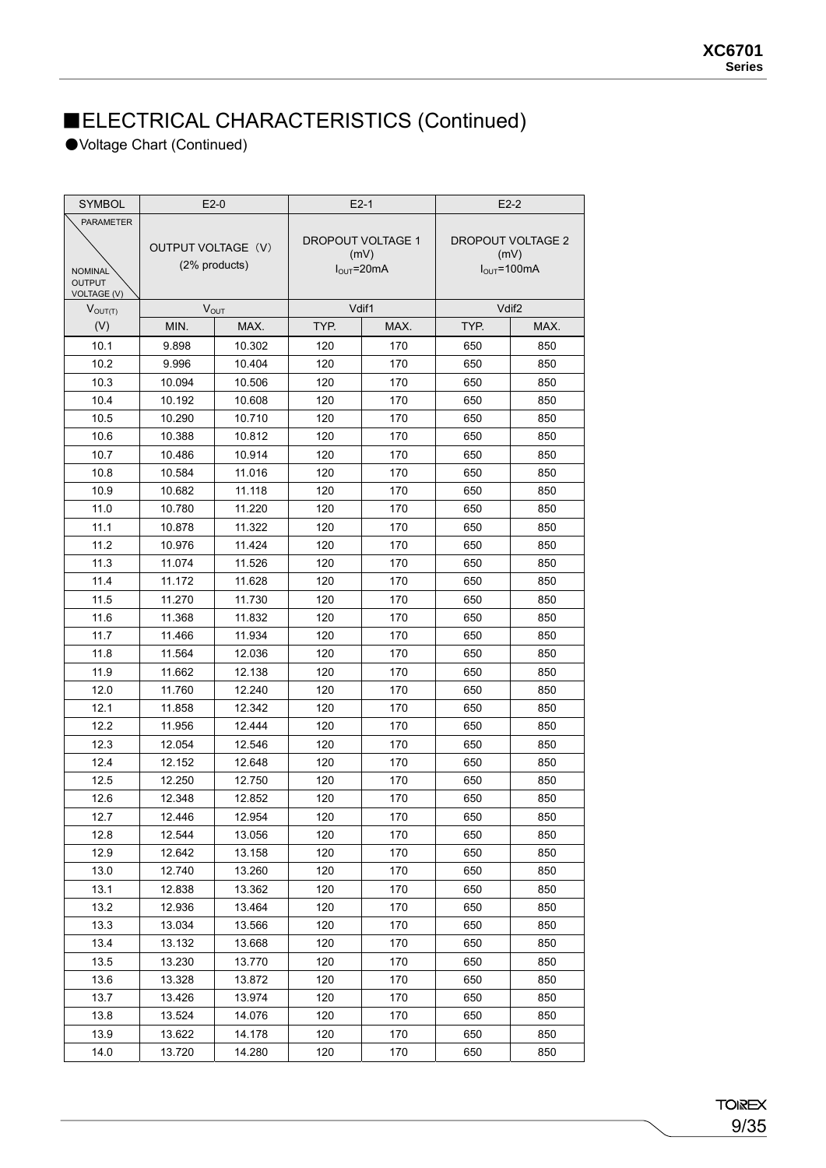●Voltage Chart (Continued)

| <b>SYMBOL</b>                   | $E2-0$             |               | $E2-1$ |                                 | $E2-2$ |                          |
|---------------------------------|--------------------|---------------|--------|---------------------------------|--------|--------------------------|
| <b>PARAMETER</b>                |                    |               |        |                                 |        |                          |
|                                 | OUTPUT VOLTAGE (V) |               |        | <b>DROPOUT VOLTAGE 1</b>        |        | <b>DROPOUT VOLTAGE 2</b> |
|                                 |                    | (2% products) |        | (mV)                            | (mV)   |                          |
| <b>NOMINAL</b><br><b>OUTPUT</b> |                    |               |        | $I_{\text{OUT}} = 20 \text{mA}$ |        | $I_{OUT} = 100mA$        |
| <b>VOLTAGE (V)</b>              |                    |               |        |                                 |        |                          |
| $V_{OUT(T)}$                    |                    | $V_{OUT}$     |        | Vdif1                           |        | Vdif <sub>2</sub>        |
| (V)                             | MIN.               | MAX.          | TYP.   | MAX.                            | TYP.   | MAX.                     |
| 10.1                            | 9.898              | 10.302        | 120    | 170                             | 650    | 850                      |
| 10.2                            | 9.996              | 10.404        | 120    | 170                             | 650    | 850                      |
| 10.3                            | 10.094             | 10.506        | 120    | 170                             | 650    | 850                      |
| 10.4                            | 10.192             | 10.608        | 120    | 170                             | 650    | 850                      |
| 10.5                            | 10.290             | 10.710        | 120    | 170                             | 650    | 850                      |
| 10.6                            | 10.388             | 10.812        | 120    | 170                             | 650    | 850                      |
| 10.7                            | 10.486             | 10.914        | 120    | 170                             | 650    | 850                      |
| 10.8                            | 10.584             | 11.016        | 120    | 170                             | 650    | 850                      |
| 10.9                            | 10.682             | 11.118        | 120    | 170                             | 650    | 850                      |
| 11.0                            | 10.780             | 11.220        | 120    | 170                             | 650    | 850                      |
| 11.1                            | 10.878             | 11.322        | 120    | 170                             | 650    | 850                      |
| 11.2                            | 10.976             | 11.424        | 120    | 170                             | 650    | 850                      |
| 11.3                            | 11.074             | 11.526        | 120    | 170                             | 650    | 850                      |
| 11.4                            | 11.172             | 11.628        | 120    | 170                             | 650    | 850                      |
| 11.5                            | 11.270             | 11.730        | 120    | 170                             | 650    | 850                      |
| 11.6                            | 11.368             | 11.832        | 120    | 170                             | 650    | 850                      |
| 11.7                            | 11.466             | 11.934        | 120    | 170                             | 650    | 850                      |
| 11.8                            | 11.564             | 12.036        | 120    | 170                             | 650    | 850                      |
| 11.9                            | 11.662             | 12.138        | 120    | 170                             | 650    | 850                      |
| 12.0                            | 11.760             | 12.240        | 120    | 170                             | 650    | 850                      |
| 12.1                            | 11.858             | 12.342        | 120    | 170                             | 650    | 850                      |
| 12.2                            | 11.956             | 12.444        | 120    | 170                             | 650    | 850                      |
| 12.3                            | 12.054             | 12.546        | 120    | 170                             | 650    | 850                      |
| 12.4                            | 12.152             | 12.648        | 120    | 170                             | 650    | 850                      |
| 12.5                            | 12.250             | 12.750        | 120    | 170                             | 650    | 850                      |
| 12.6                            | 12.348             | 12.852        | 120    | 170                             | 650    | 850                      |
| 12.7                            | 12.446             | 12.954        | 120    | 170                             | 650    | 850                      |
| 12.8                            | 12.544             | 13.056        | 120    | 170                             | 650    | 850                      |
| 12.9                            | 12.642             | 13.158        | 120    | 170                             | 650    | 850                      |
| 13.0                            | 12.740             | 13.260        | 120    | 170                             | 650    | 850                      |
| 13.1                            | 12.838             | 13.362        | 120    | 170                             | 650    | 850                      |
| 13.2                            | 12.936             | 13.464        | 120    | 170                             | 650    | 850                      |
| 13.3                            | 13.034             | 13.566        | 120    | 170                             | 650    | 850                      |
| 13.4                            | 13.132             | 13.668        | 120    | 170                             | 650    | 850                      |
| 13.5                            | 13.230             | 13.770        | 120    | 170                             | 650    | 850                      |
| 13.6                            | 13.328             | 13.872        | 120    | 170                             | 650    | 850                      |
| 13.7                            |                    | 13.974        |        | 170                             | 650    |                          |
|                                 | 13.426             |               | 120    |                                 |        | 850                      |
| 13.8                            | 13.524             | 14.076        | 120    | 170                             | 650    | 850                      |
| 13.9                            | 13.622             | 14.178        | 120    | 170                             | 650    | 850                      |
| 14.0                            | 13.720             | 14.280        | 120    | 170                             | 650    | 850                      |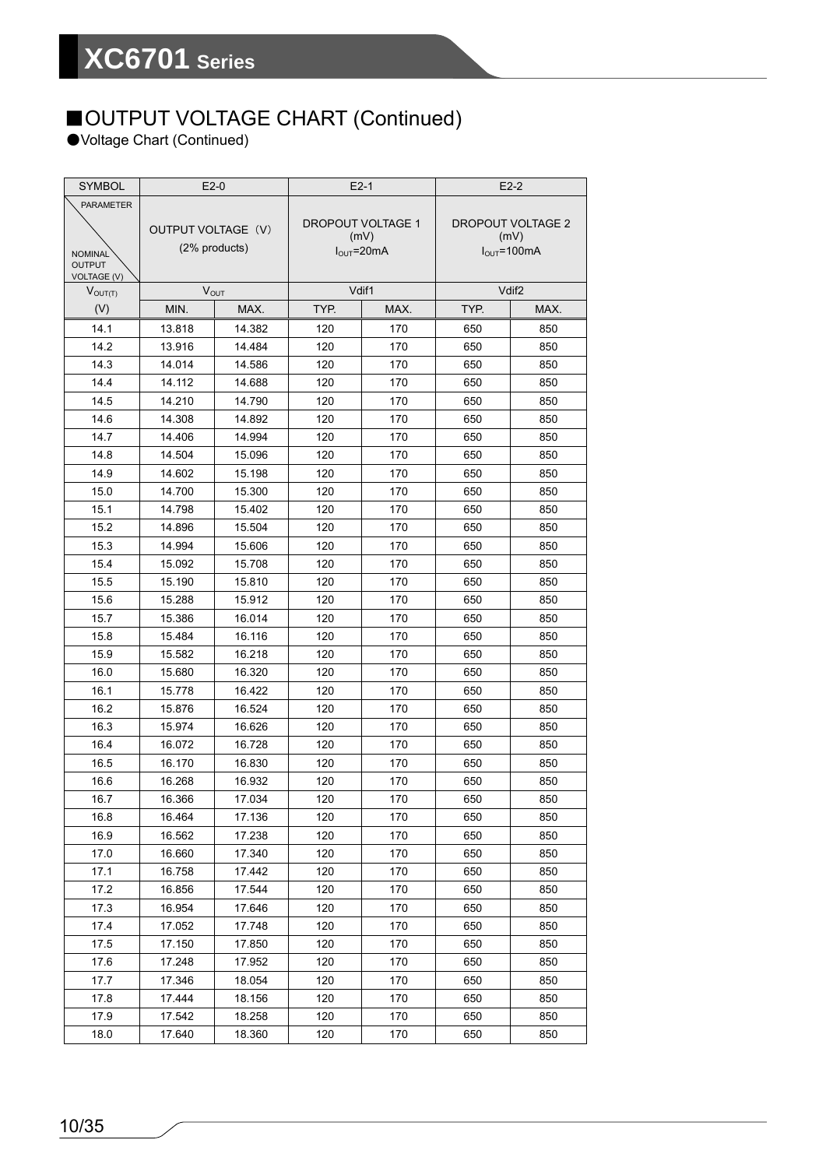## ■OUTPUT VOLTAGE CHART (Continued)

●Voltage Chart (Continued)

| <b>SYMBOL</b>                   | $E2-0$             |               | $E2-1$                          |      | $E2-2$                   |                   |
|---------------------------------|--------------------|---------------|---------------------------------|------|--------------------------|-------------------|
| <b>PARAMETER</b>                |                    |               |                                 |      |                          |                   |
|                                 | OUTPUT VOLTAGE (V) |               | <b>DROPOUT VOLTAGE 1</b>        |      | <b>DROPOUT VOLTAGE 2</b> |                   |
|                                 |                    | (2% products) |                                 | (mV) |                          | (mV)              |
| <b>NOMINAL</b><br><b>OUTPUT</b> |                    |               | $I_{\text{OUT}} = 20 \text{mA}$ |      |                          | $I_{OUT} = 100mA$ |
| <b>VOLTAGE (V)</b>              |                    |               |                                 |      |                          |                   |
| $V_{OUT(T)}$                    |                    | $V_{OUT}$     | Vdif1                           |      |                          | Vdif <sub>2</sub> |
| (V)                             | MIN.               | MAX.          | TYP.                            | MAX. | TYP.                     | MAX.              |
| 14.1                            | 13.818             | 14.382        | 120                             | 170  | 650                      | 850               |
| 14.2                            | 13.916             | 14.484        | 120                             | 170  | 650                      | 850               |
| 14.3                            | 14.014             | 14.586        | 120                             | 170  | 650                      | 850               |
| 14.4                            | 14.112             | 14.688        | 120                             | 170  | 650                      | 850               |
| 14.5                            | 14.210             | 14.790        | 120                             | 170  | 650                      | 850               |
| 14.6                            | 14.308             | 14.892        | 120                             | 170  | 650                      | 850               |
| 14.7                            | 14.406             | 14.994        | 120                             | 170  | 650                      | 850               |
| 14.8                            | 14.504             | 15.096        | 120                             | 170  | 650                      | 850               |
| 14.9                            | 14.602             | 15.198        | 120                             | 170  | 650                      | 850               |
| 15.0                            | 14.700             | 15.300        | 120                             | 170  | 650                      | 850               |
| 15.1                            | 14.798             | 15.402        | 120                             | 170  | 650                      | 850               |
| 15.2                            | 14.896             | 15.504        | 120                             | 170  | 650                      | 850               |
| 15.3                            | 14.994             | 15.606        | 120                             | 170  | 650                      | 850               |
| 15.4                            | 15.092             | 15.708        | 120                             | 170  | 650                      | 850               |
| 15.5                            | 15.190             | 15.810        | 120                             | 170  | 650                      | 850               |
| 15.6                            | 15.288             | 15.912        | 120                             | 170  | 650                      | 850               |
| 15.7                            | 15.386             | 16.014        | 120                             | 170  | 650                      | 850               |
| 15.8                            | 15.484             | 16.116        | 120                             | 170  | 650                      | 850               |
| 15.9                            | 15.582             | 16.218        | 120                             | 170  | 650                      | 850               |
| 16.0                            | 15.680             | 16.320        | 120                             | 170  | 650                      | 850               |
| 16.1                            | 15.778             | 16.422        | 120                             | 170  | 650                      | 850               |
| 16.2                            | 15.876             | 16.524        | 120                             | 170  | 650                      | 850               |
| 16.3                            | 15.974             | 16.626        | 120                             | 170  | 650                      | 850               |
| 16.4                            | 16.072             | 16.728        | 120                             | 170  | 650                      | 850               |
| 16.5                            | 16.170             | 16.830        | 120                             | 170  | 650                      | 850               |
| 16.6                            | 16.268             | 16.932        | 120                             | 170  | 650                      | 850               |
| 16.7                            | 16.366             | 17.034        | 120                             | 170  | 650                      | 850               |
| 16.8                            | 16.464             | 17.136        | 120                             | 170  | 650                      | 850               |
| 16.9                            | 16.562             | 17.238        | 120                             | 170  | 650                      | 850               |
| 17.0                            | 16.660             | 17.340        | 120                             | 170  | 650                      | 850               |
| 17.1                            | 16.758             | 17.442        | 120                             | 170  | 650                      | 850               |
| 17.2                            | 16.856             | 17.544        | 120                             | 170  | 650                      | 850               |
| 17.3                            | 16.954             | 17.646        | 120                             | 170  | 650                      | 850               |
| 17.4                            | 17.052             | 17.748        | 120                             | 170  | 650                      | 850               |
| 17.5                            | 17.150             | 17.850        | 120                             | 170  | 650                      | 850               |
| 17.6                            | 17.248             | 17.952        | 120                             | 170  | 650                      | 850               |
| 17.7                            | 17.346             | 18.054        | 120                             | 170  | 650                      | 850               |
| 17.8                            | 17.444             | 18.156        | 120                             | 170  | 650                      | 850               |
| 17.9                            | 17.542             | 18.258        | 120                             | 170  | 650                      | 850               |
| 18.0                            | 17.640             | 18.360        | 120                             | 170  | 650                      | 850               |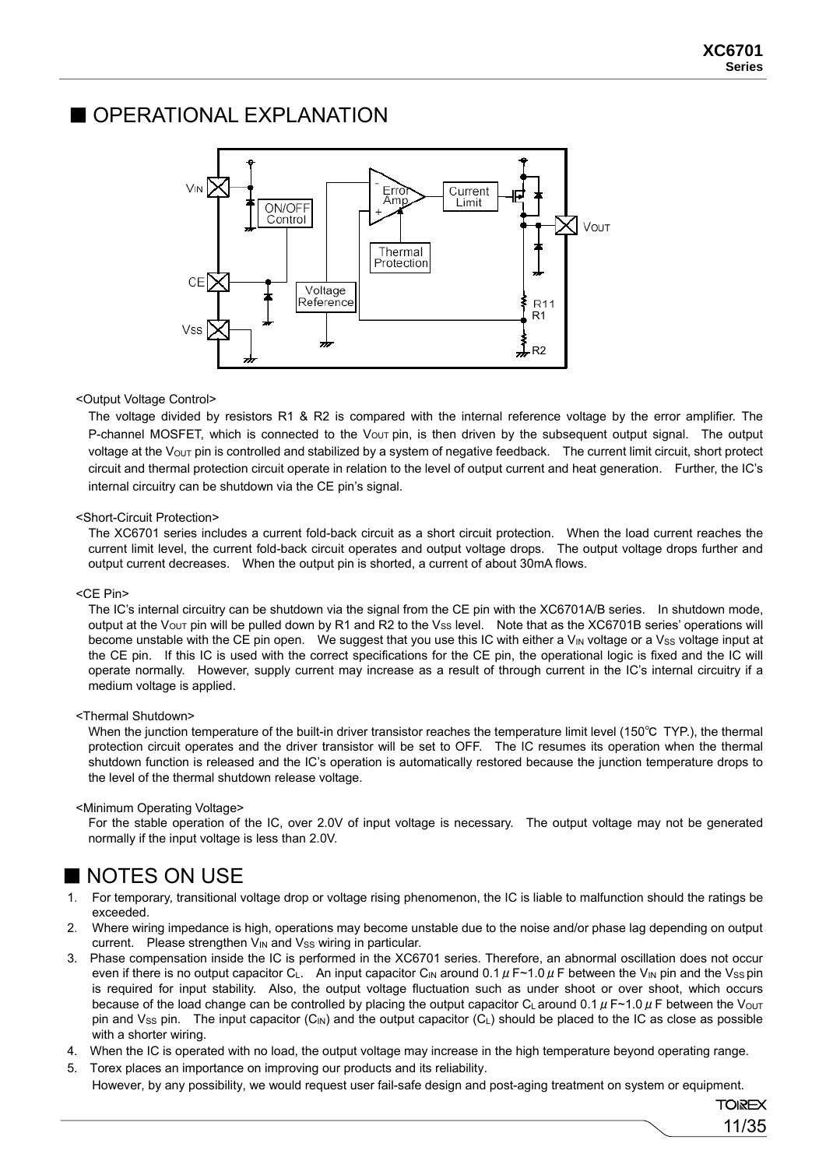### ■ OPERATIONAL EXPLANATION



#### <Output Voltage Control>

The voltage divided by resistors R1 & R2 is compared with the internal reference voltage by the error amplifier. The P-channel MOSFET, which is connected to the  $V_{\text{OUT}}$  pin, is then driven by the subsequent output signal. The output voltage at the V<sub>OUT</sub> pin is controlled and stabilized by a system of negative feedback. The current limit circuit, short protect circuit and thermal protection circuit operate in relation to the level of output current and heat generation. Further, the IC's internal circuitry can be shutdown via the CE pin's signal.

#### <Short-Circuit Protection>

The XC6701 series includes a current fold-back circuit as a short circuit protection. When the load current reaches the current limit level, the current fold-back circuit operates and output voltage drops. The output voltage drops further and output current decreases. When the output pin is shorted, a current of about 30mA flows.

#### <CE Pin>

The IC's internal circuitry can be shutdown via the signal from the CE pin with the XC6701A/B series. In shutdown mode, output at the V<sub>OUT</sub> pin will be pulled down by R1 and R2 to the Vss level. Note that as the XC6701B series' operations will become unstable with the CE pin open. We suggest that you use this IC with either a  $V_{IN}$  voltage or a  $V_{SS}$  voltage input at the CE pin. If this IC is used with the correct specifications for the CE pin, the operational logic is fixed and the IC will operate normally. However, supply current may increase as a result of through current in the IC's internal circuitry if a medium voltage is applied.

#### <Thermal Shutdown>

When the junction temperature of the built-in driver transistor reaches the temperature limit level (150℃ TYP.), the thermal protection circuit operates and the driver transistor will be set to OFF. The IC resumes its operation when the thermal shutdown function is released and the IC's operation is automatically restored because the junction temperature drops to the level of the thermal shutdown release voltage.

#### <Minimum Operating Voltage>

For the stable operation of the IC, over 2.0V of input voltage is necessary. The output voltage may not be generated normally if the input voltage is less than 2.0V.

### ■ NOTES ON USE

- 1. For temporary, transitional voltage drop or voltage rising phenomenon, the IC is liable to malfunction should the ratings be exceeded.
- 2. Where wiring impedance is high, operations may become unstable due to the noise and/or phase lag depending on output current. Please strengthen V<sub>IN</sub> and V<sub>SS</sub> wiring in particular.
- 3. Phase compensation inside the IC is performed in the XC6701 series. Therefore, an abnormal oscillation does not occur even if there is no output capacitor C<sub>L</sub>. An input capacitor C<sub>IN</sub> around 0.1  $\mu$  F~1.0  $\mu$  F between the V<sub>IN</sub> pin and the V<sub>SS</sub> pin is required for input stability. Also, the output voltage fluctuation such as under shoot or over shoot, which occurs because of the load change can be controlled by placing the output capacitor C<sub>L</sub> around 0.1  $\mu$  F $\sim$ 1.0  $\mu$  F between the V<sub>OUT</sub> pin and Vss pin. The input capacitor  $(C<sub>IN</sub>)$  and the output capacitor  $(C<sub>L</sub>)$  should be placed to the IC as close as possible with a shorter wiring.
- 4. When the IC is operated with no load, the output voltage may increase in the high temperature beyond operating range.
- 5. Torex places an importance on improving our products and its reliability. However, by any possibility, we would request user fail-safe design and post-aging treatment on system or equipment.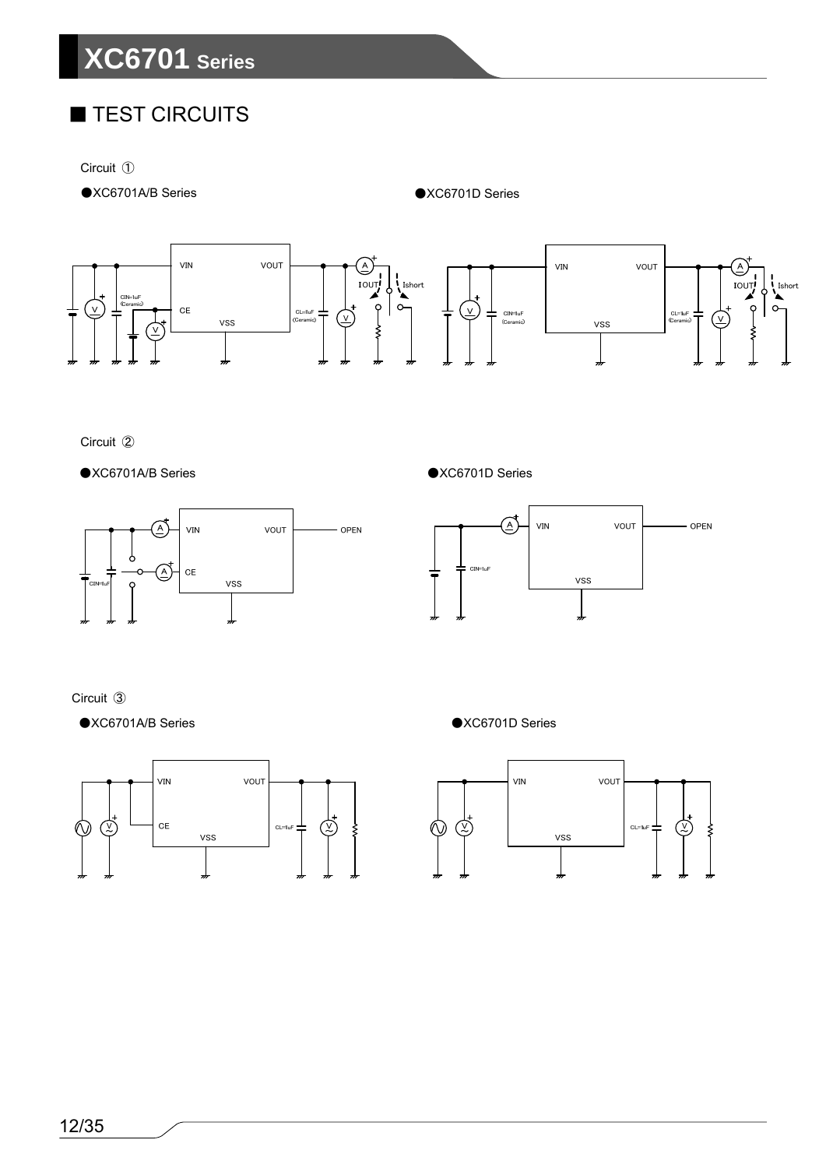# **XC6701 Series**

# ■ TEST CIRCUITS

Circuit ①

●XC6701A/B Series ●XC6701D Series



Circuit ②

●XC6701A/B Series ●XC6701D Series





Circuit ③

●XC6701A/B Series ●XC6701D Series



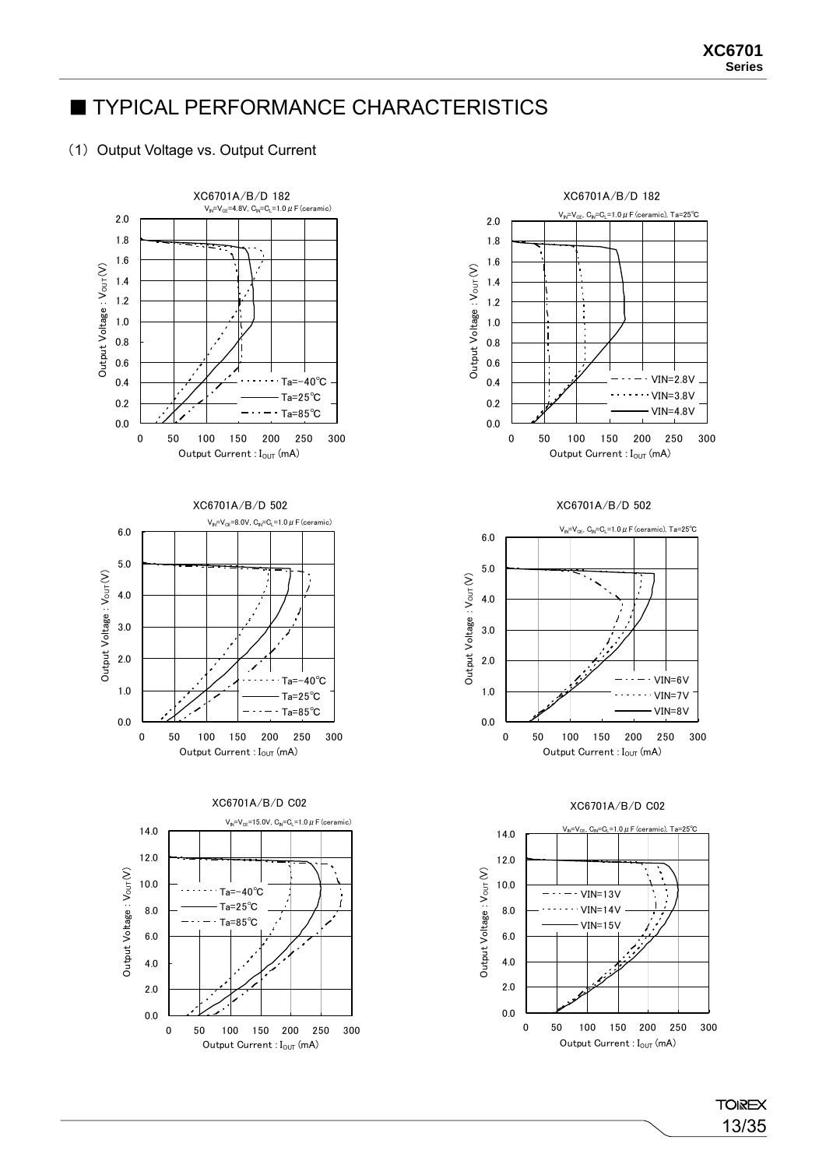### **TYPICAL PERFORMANCE CHARACTERISTICS**

#### (1) Output Voltage vs. Output Current







Output Current :  $I_{\text{OUT}}$  (mA)



#### XC6701A/B/D 502



#### XC6701A/B/D C02



**TOIREX** 13/35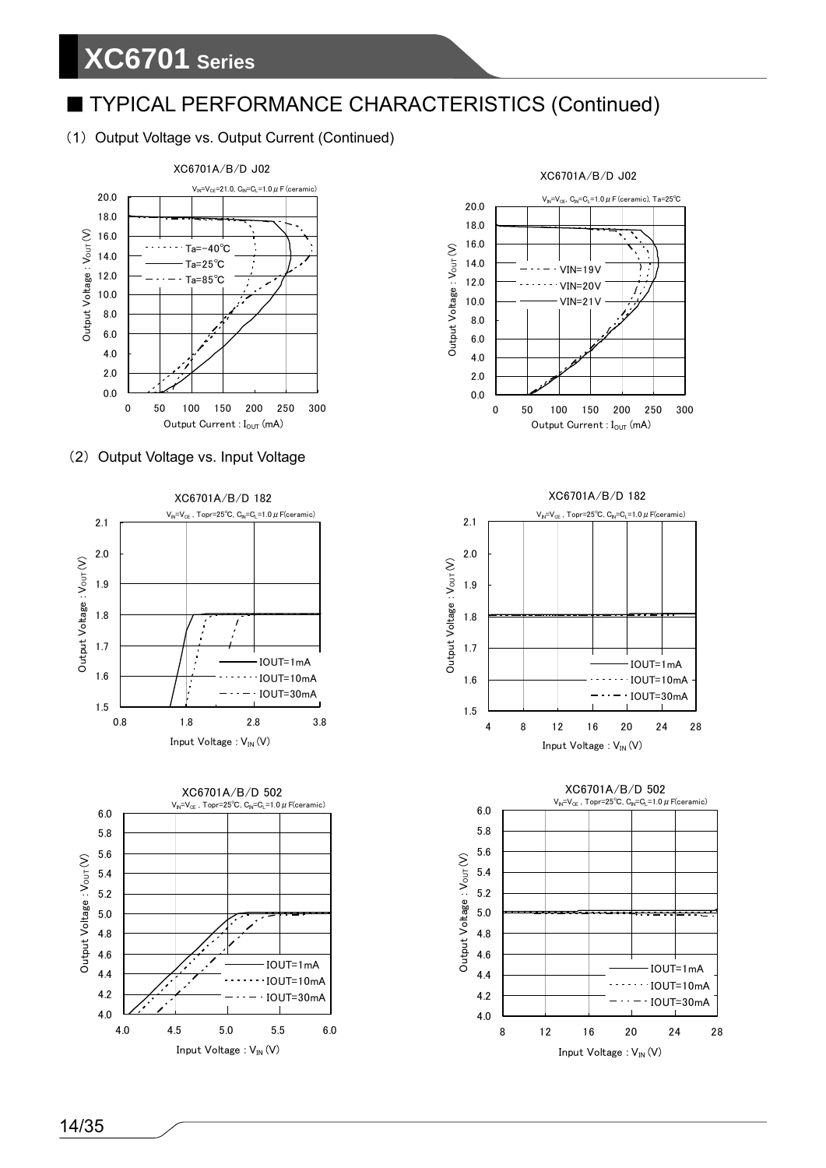#### (1) Output Voltage vs. Output Current (Continued)



#### (2) Output Voltage vs. Input Voltage





#### XC6701A/B/D J02  $V_N=V_{CE}$ ,  $C_N=C_L=1.0 \ \mu$  F (ceramic), Ta=25°C 20.0 18.0 16.0 14.0 7 VIN=19V 12.0 VIN=20V  $\prime$ 10.0 VIN=21V 8.0 6.0

2.0 4.0

 $\mathsf{Output}\ \mathsf{Voltage} : \mathsf{V}\mathsf{out}(\mathsf{V})$ 

Output Voltage: Vouτ (V)





4 8 12 16 20 24 28

14/35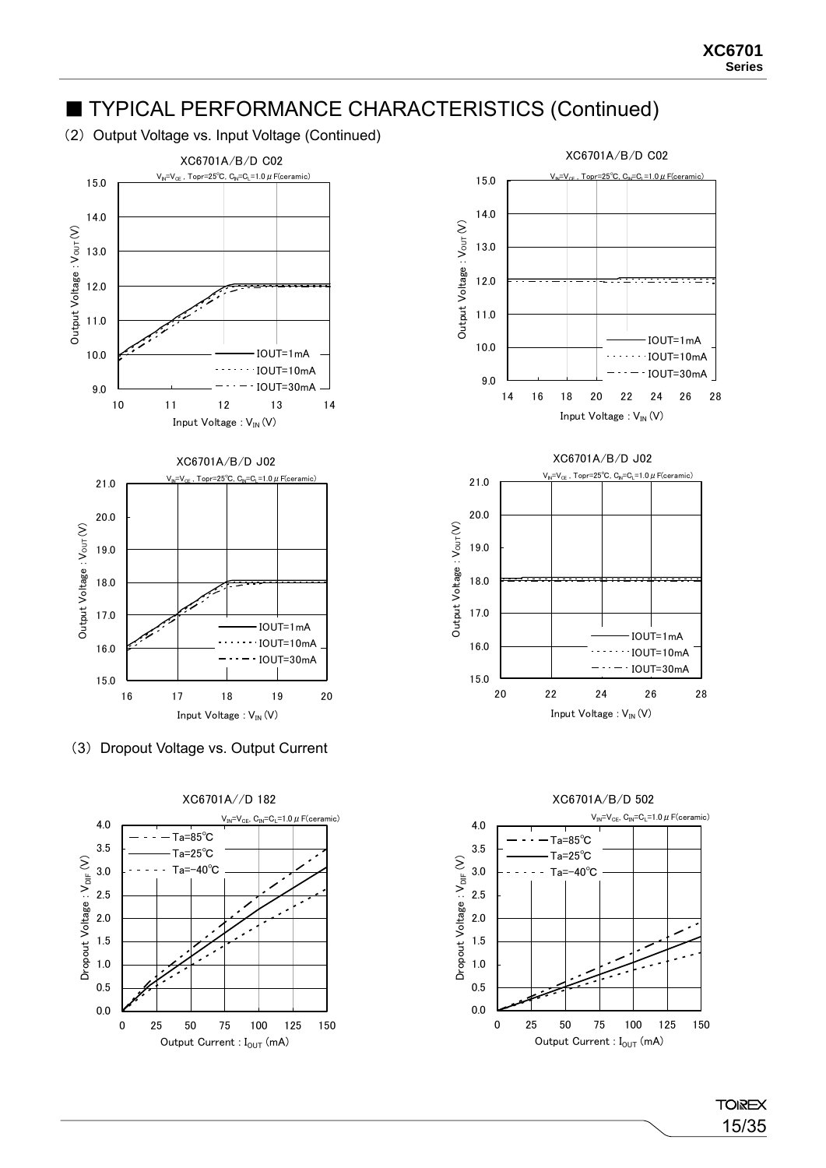(2) Output Voltage vs. Input Voltage (Continued)



(3) Dropout Voltage vs. Output Current









**TOIREX** 15/35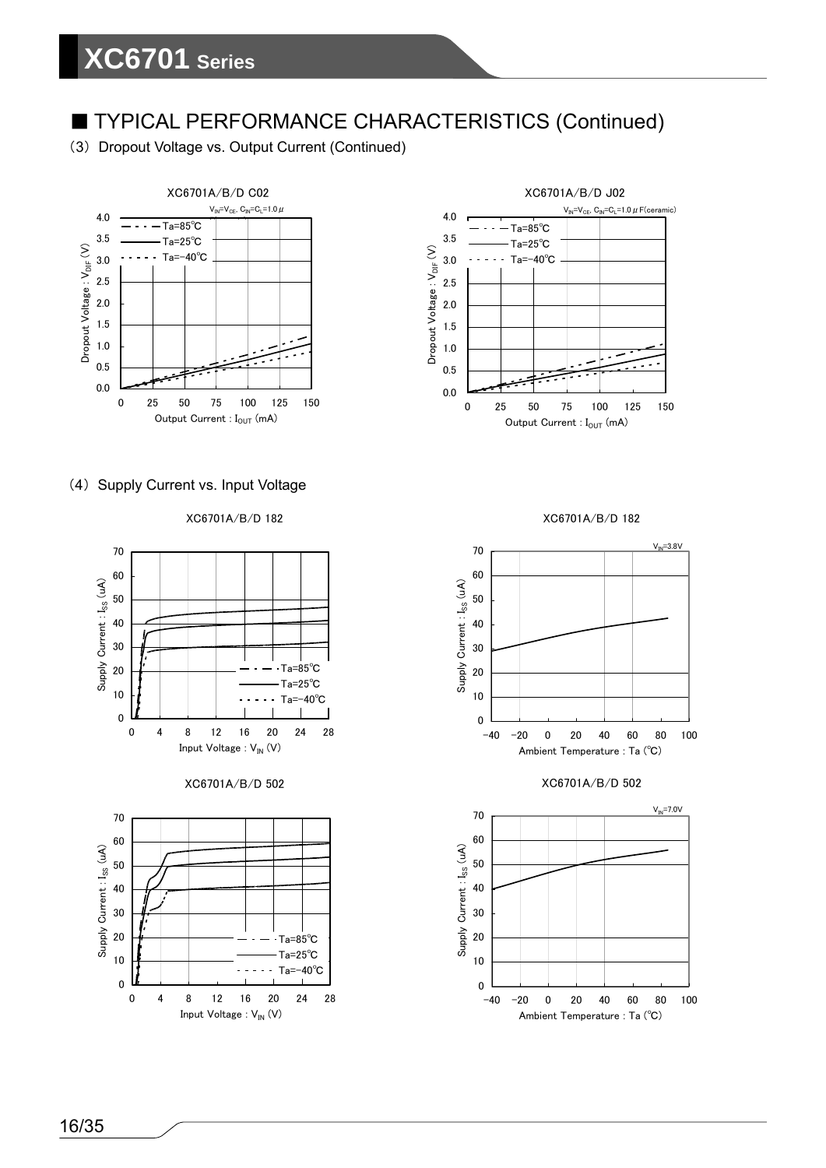(3) Dropout Voltage vs. Output Current (Continued)



#### (4) Supply Current vs. Input Voltage

XC6701A/B/D 182









XC6701A/B/D 182



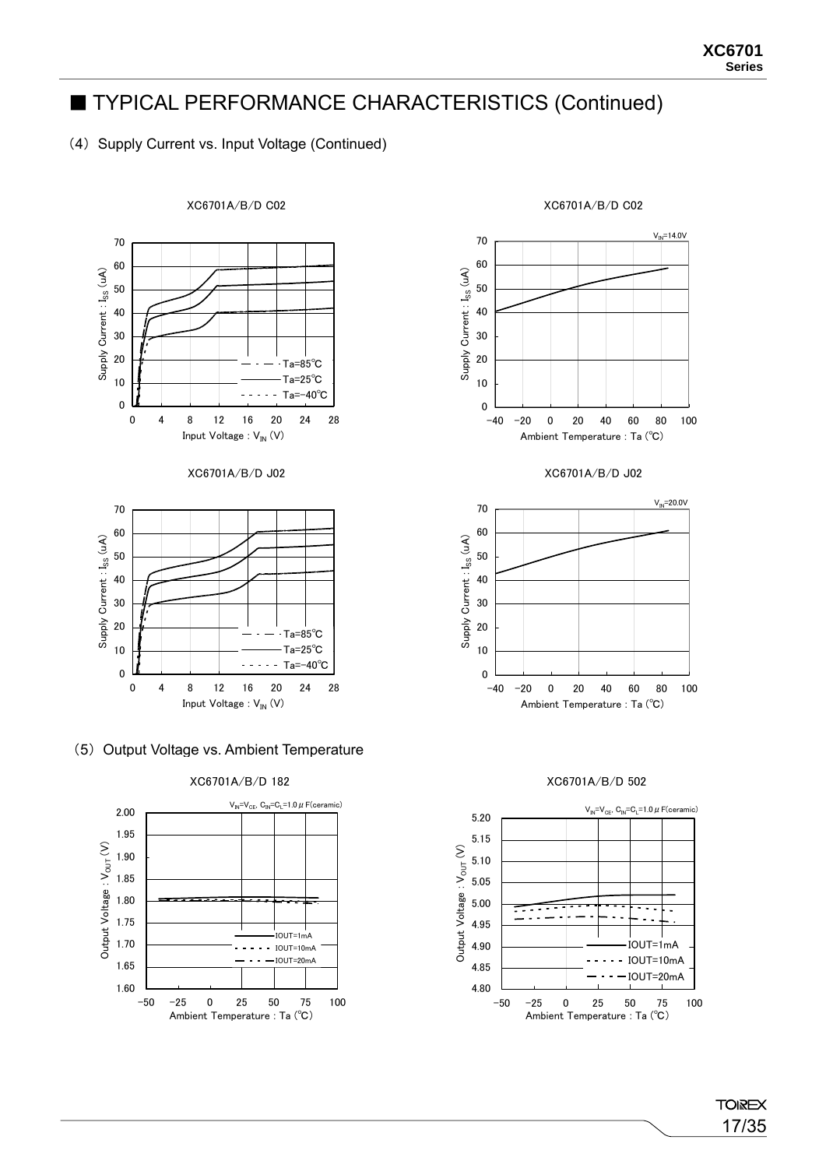#### (4) Supply Current vs. Input Voltage (Continued)



# XC6701A/B/D C02

(5) Output Voltage vs. Ambient Temperature





XC6701A/B/D 502



#### XC6701A/B/D C02

**TOIREX** 17/35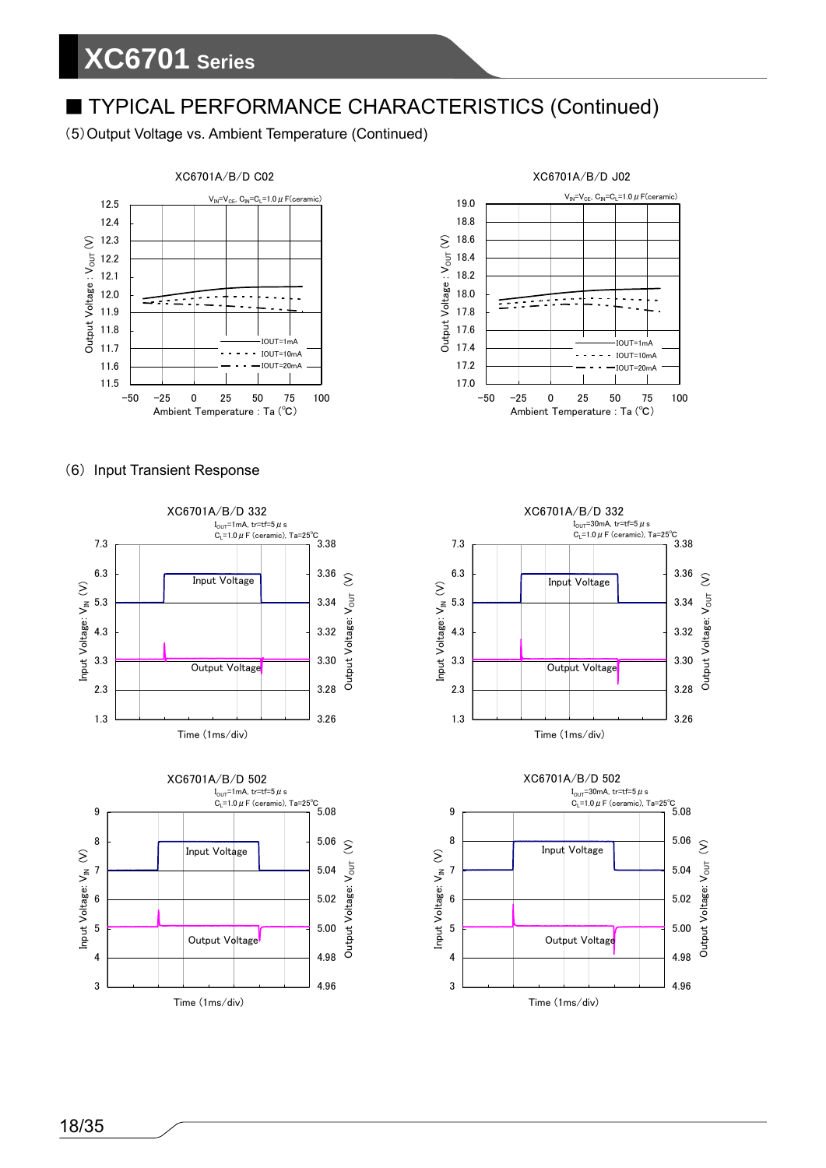(5)Output Voltage vs. Ambient Temperature (Continued)



#### (6) Input Transient Response













18/35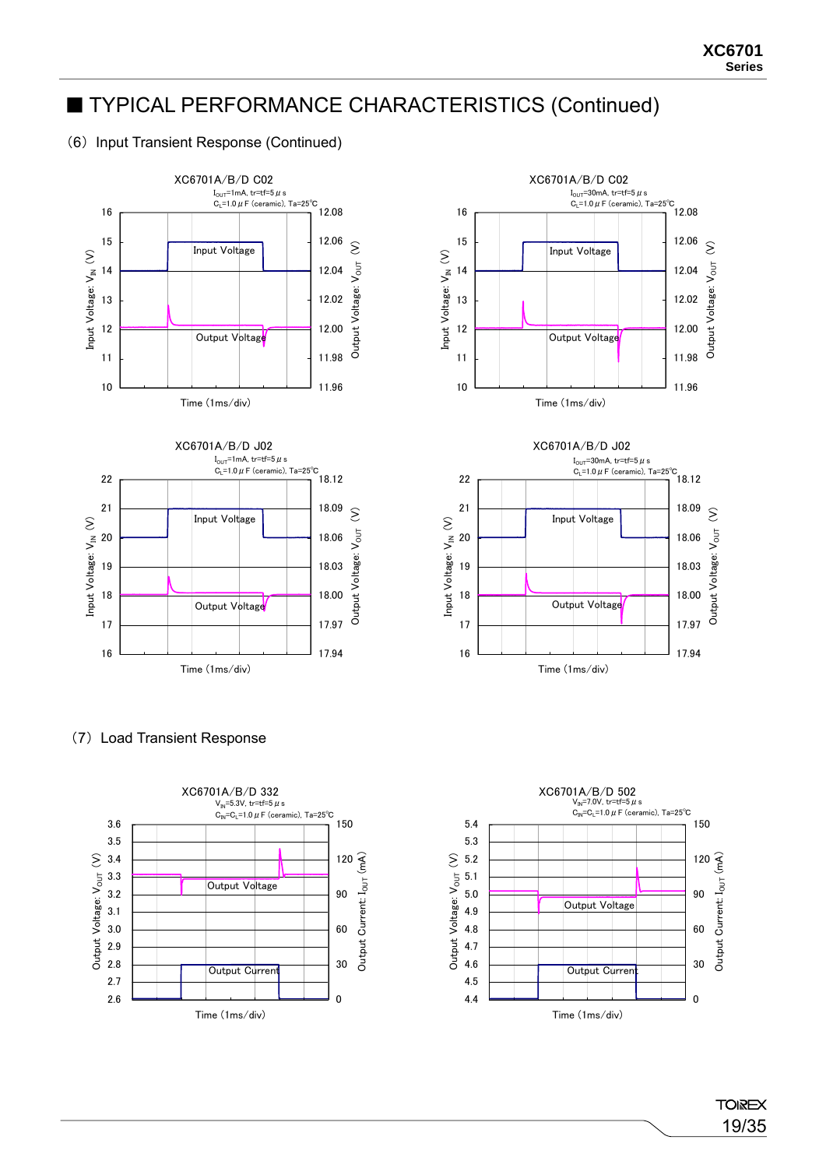#### (6) Input Transient Response (Continued)









#### (7) Load Transient Response



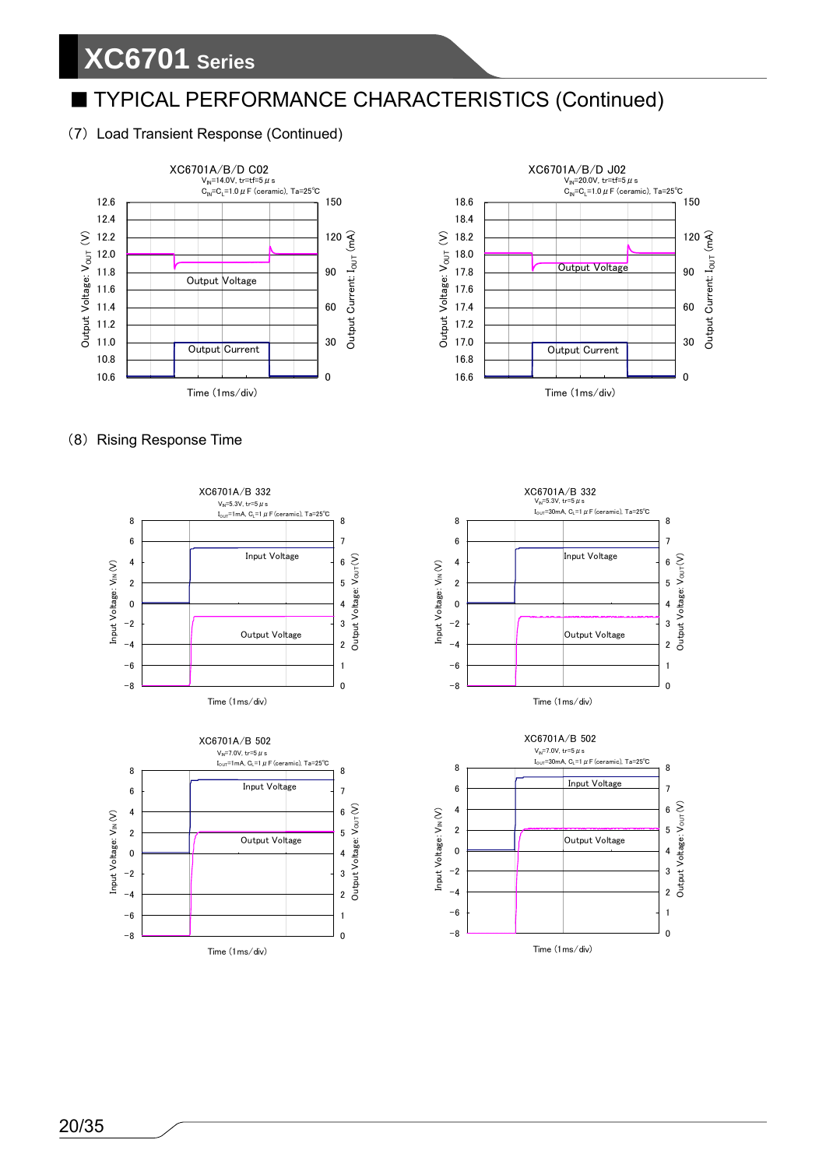#### (7) Load Transient Response (Continued)





#### (8) Rising Response Time







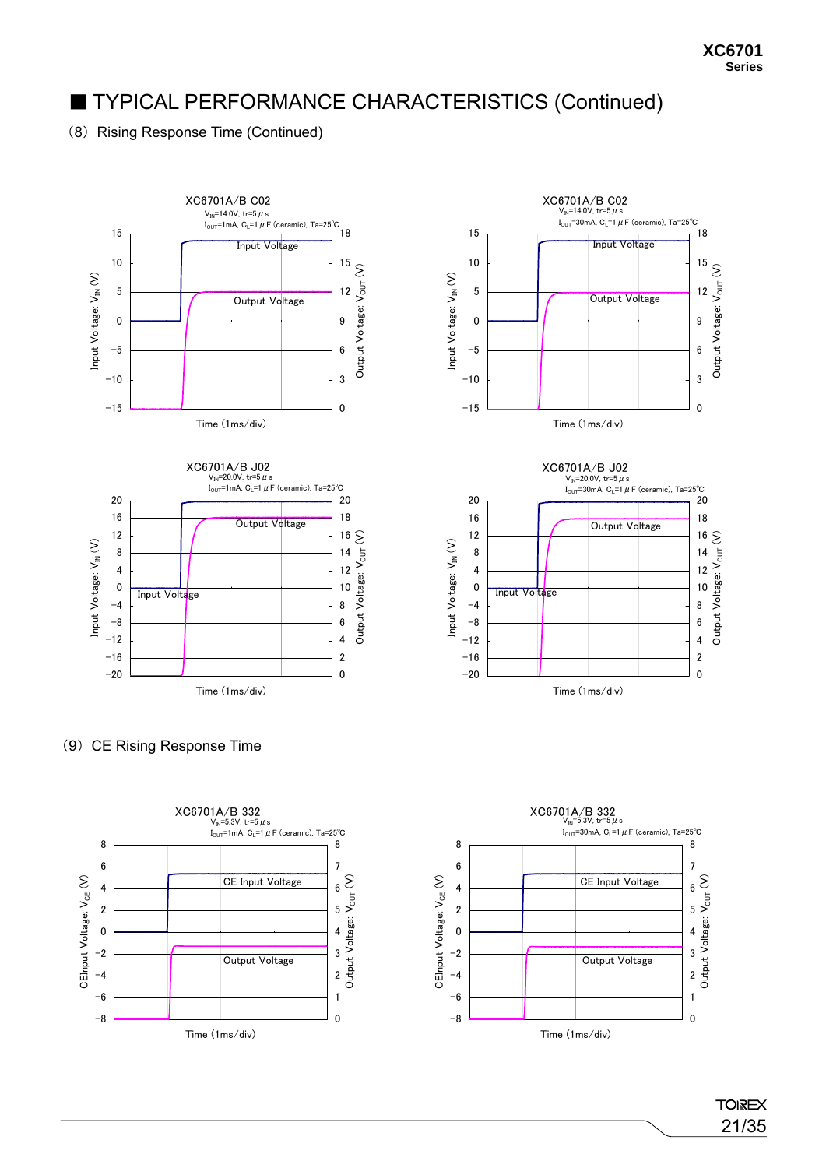(8) Rising Response Time (Continued)







(9) CE Rising Response Time



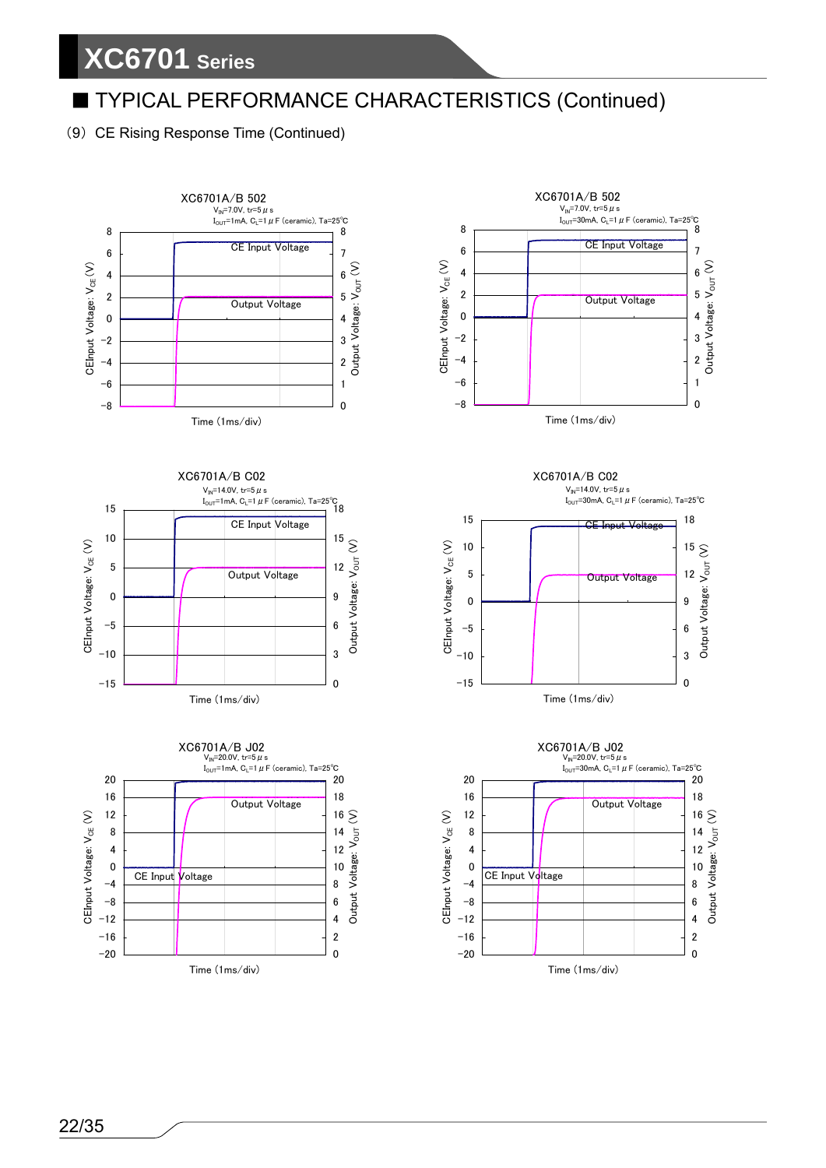# **XC6701 Series**

### ■ TYPICAL PERFORMANCE CHARACTERISTICS (Continued)

(9) CE Rising Response Time (Continued)











XC6701A/B C02 V<sub>IN</sub>=14.0V, tr=5  $\mu$  s  $I<sub>OUT</sub>=30$ mA, C<sub>L</sub>=1  $\mu$  F (ceramic), Ta=25°C



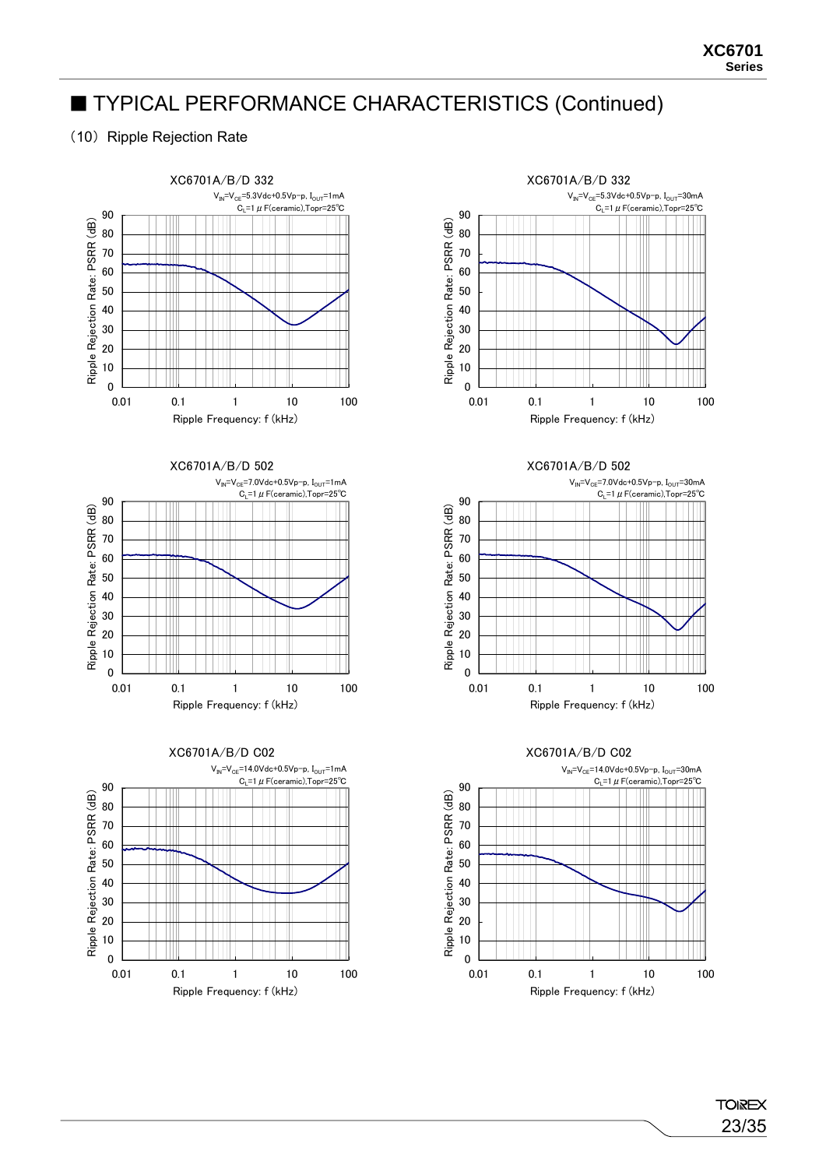#### (10) Ripple Rejection Rate





XC6701A/B/D 502





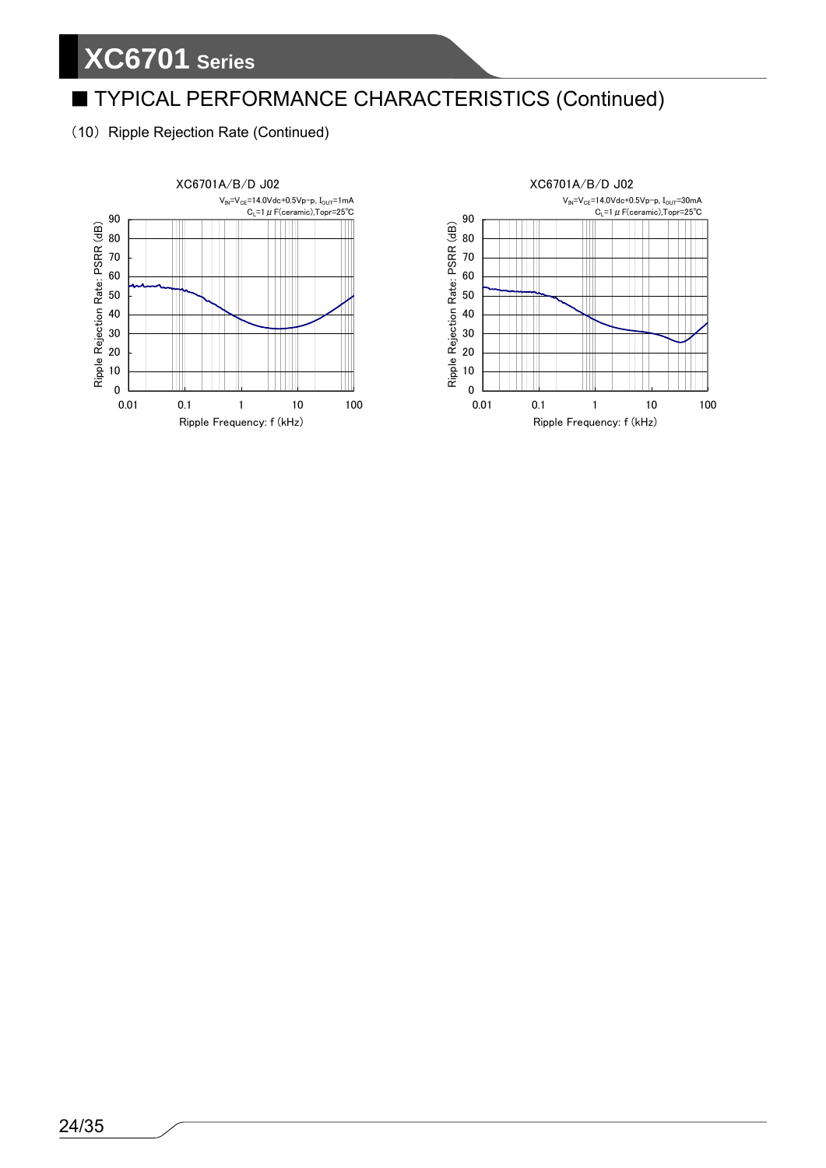(10) Ripple Rejection Rate (Continued)



XC6701A/B/D J02  $V_{IN} = V_{CE} = 14.0V$ dc+0.5Vp-p, I<sub>OUT</sub>=30mA  $C_{L}$ =1  $\mu$  F(ceramic),Topr=25°C 90 Ripple Rejection Rate: PSRR (dB) 80 Ш 70  $\mathbb{H}$ 60 TT 50 Ш  $\blacksquare$  $\blacksquare$ 40 Ш III 30  $\Box$  $\overline{\phantom{a}}$ 20 10 0 0.01 0.1 1 10 100 Ripple Frequency: f (kHz)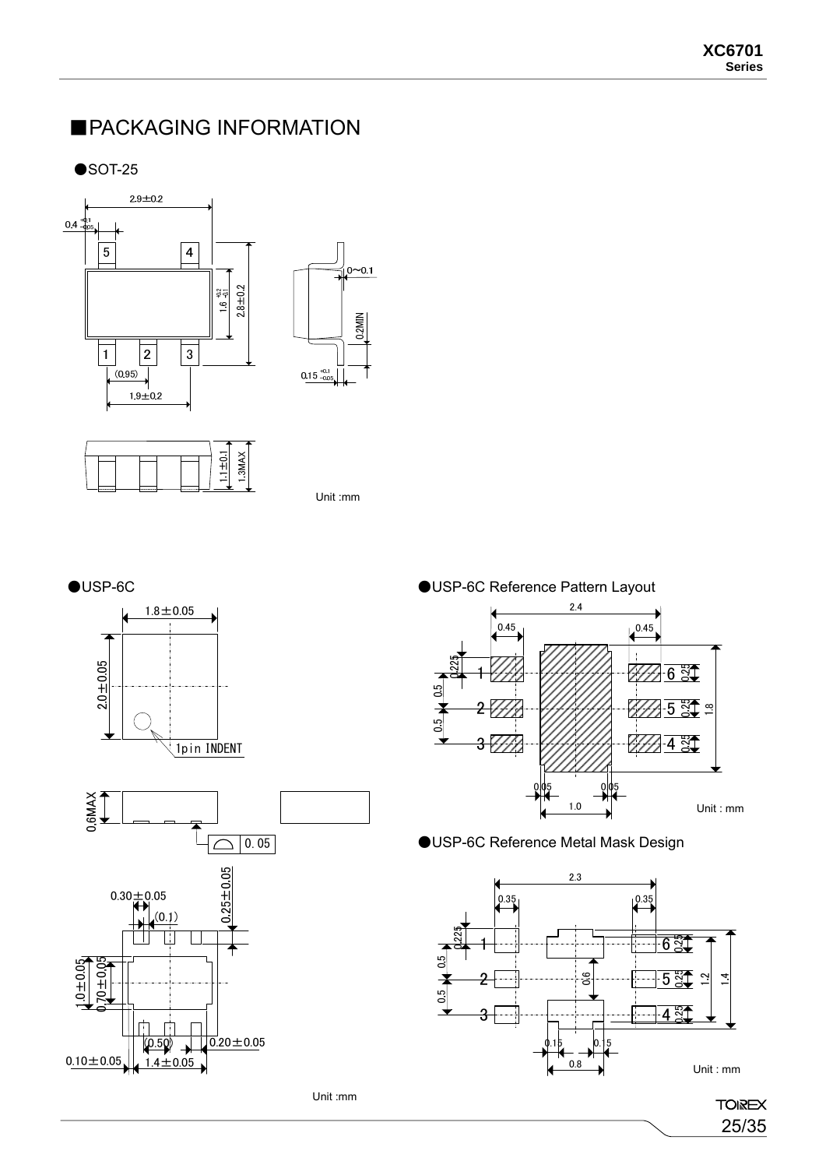### ■PACKAGING INFORMATION

 $\bullet$ SOT-25





Unit :mm

0.2MIN









●USP-6C Reference Metal Mask Design



**TOIREX** 

25/35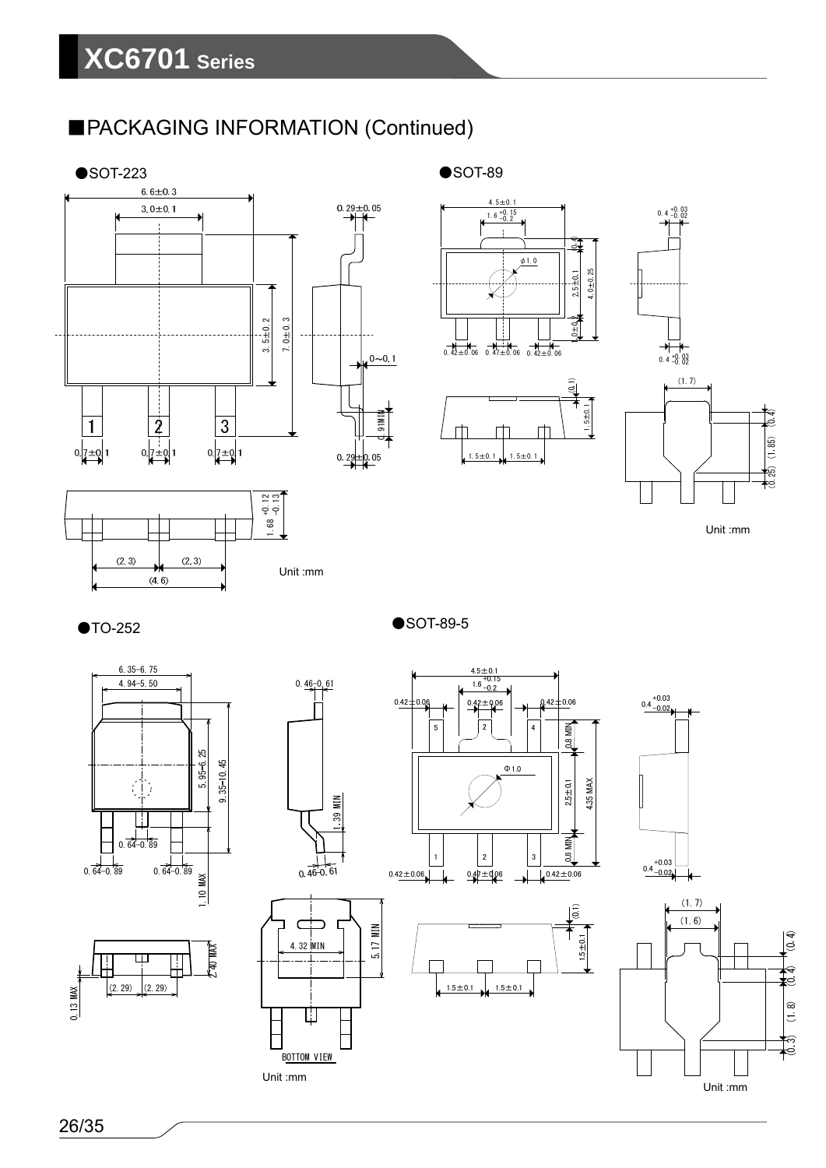## ■PACKAGING INFORMATION (Continued)





 $\bullet$ SOT-89







 $0.4 +0.03$ 

Unit :mm









Unit :mm

**BOTTOM VIEW** 

 $0.46 - 0.61$ 

 $1.6^{+0.15}_{-0.2}$  $0.42 \pm 0.06$  0.42 $\pm$ 0.06 0.42 $\pm$ 0.06 5 | | | 2 | | | 4 **D.8 MIN** Φ1.0 1.35 MAX  $2.5 + 0.1$ 0.8 MIN

 $4.5 \pm 0.1 + 0.15$ 

●SOT-89-5





 $(1.7)$  $(1.6)$  $\sqrt{6}$ ੑ ke  $(1, 8)$ S Unit :mm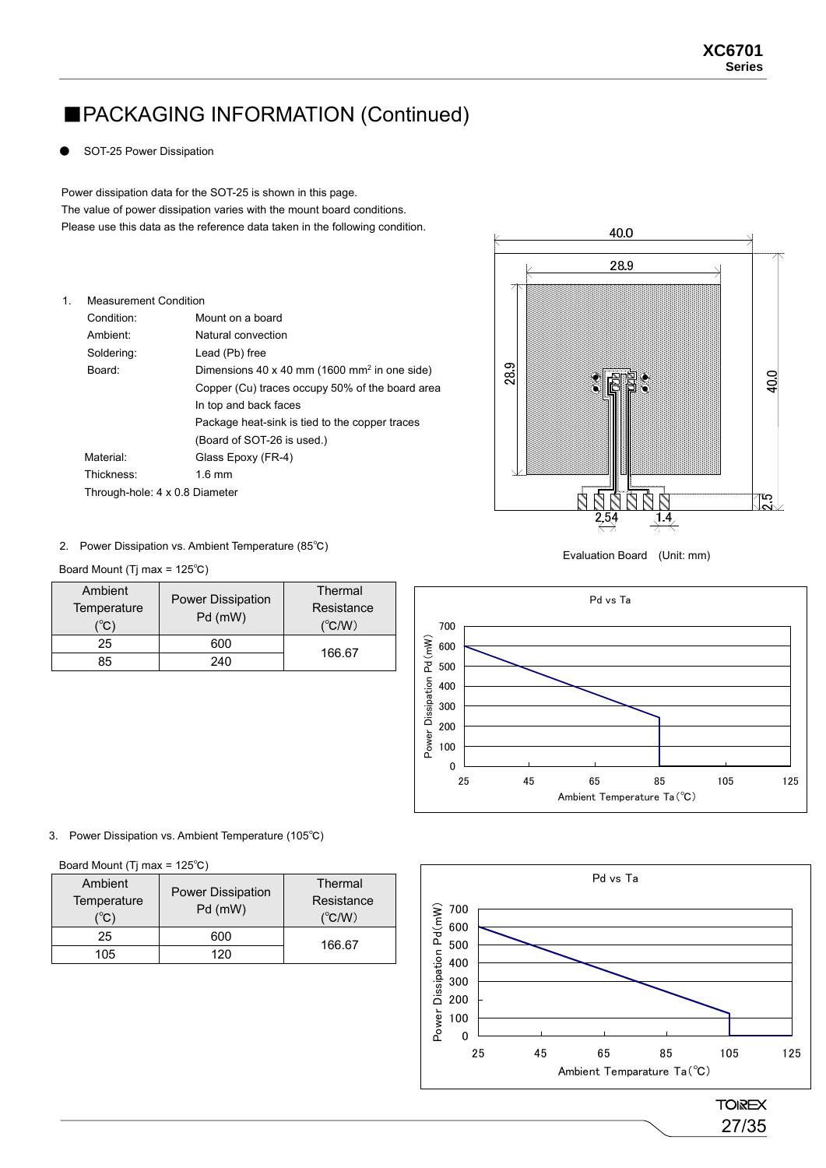### ■PACKAGING INFORMATION (Continued)

SOT-25 Power Dissipation

 The value of power dissipation varies with the mount board conditions. Power dissipation data for the SOT-25 is shown in this page. Please use this data as the reference data taken in the following condition.

| 1. | <b>Measurement Condition</b>   |                                                          |
|----|--------------------------------|----------------------------------------------------------|
|    | Condition:                     | Mount on a board                                         |
|    | Ambient <sup>.</sup>           | Natural convection                                       |
|    | Soldering:                     | Lead (Pb) free                                           |
|    | Board:                         | Dimensions 40 x 40 mm (1600 mm <sup>2</sup> in one side) |
|    |                                | Copper (Cu) traces occupy 50% of the board area          |
|    |                                | In top and back faces                                    |
|    |                                | Package heat-sink is tied to the copper traces           |
|    |                                | (Board of SOT-26 is used.)                               |
|    | Material:                      | Glass Epoxy (FR-4)                                       |
|    | Thickness:                     | $1.6$ mm                                                 |
|    | Through-hole: 4 x 0.8 Diameter |                                                          |



2. Power Dissipation vs. Ambient Temperature (85℃) The Control of the System and Australian Board (Unit: mm)

|  | Board Mount (Tj max = $125^{\circ}$ C) |  |  |
|--|----------------------------------------|--|--|
|--|----------------------------------------|--|--|

| Ambient<br>Temperature<br>(°C) | <b>Power Dissipation</b><br>Pd (mW) | Thermal<br>Resistance<br>$(^{\circ}C/W)$ |
|--------------------------------|-------------------------------------|------------------------------------------|
| 25                             | 600                                 |                                          |
| 85                             | 240                                 | 166.67                                   |



#### 3. Power Dissipation vs. Ambient Temperature (105℃)

Board Mount (Tj max = 125℃)

| Ambient<br>Temperature<br>$C^{\circ}$ | <b>Power Dissipation</b><br>Pd (mW) | Thermal<br>Resistance<br>$(^{\circ}C/W)$ |
|---------------------------------------|-------------------------------------|------------------------------------------|
| 25                                    | 600                                 | 166.67                                   |
| 105                                   | 120                                 |                                          |



27/35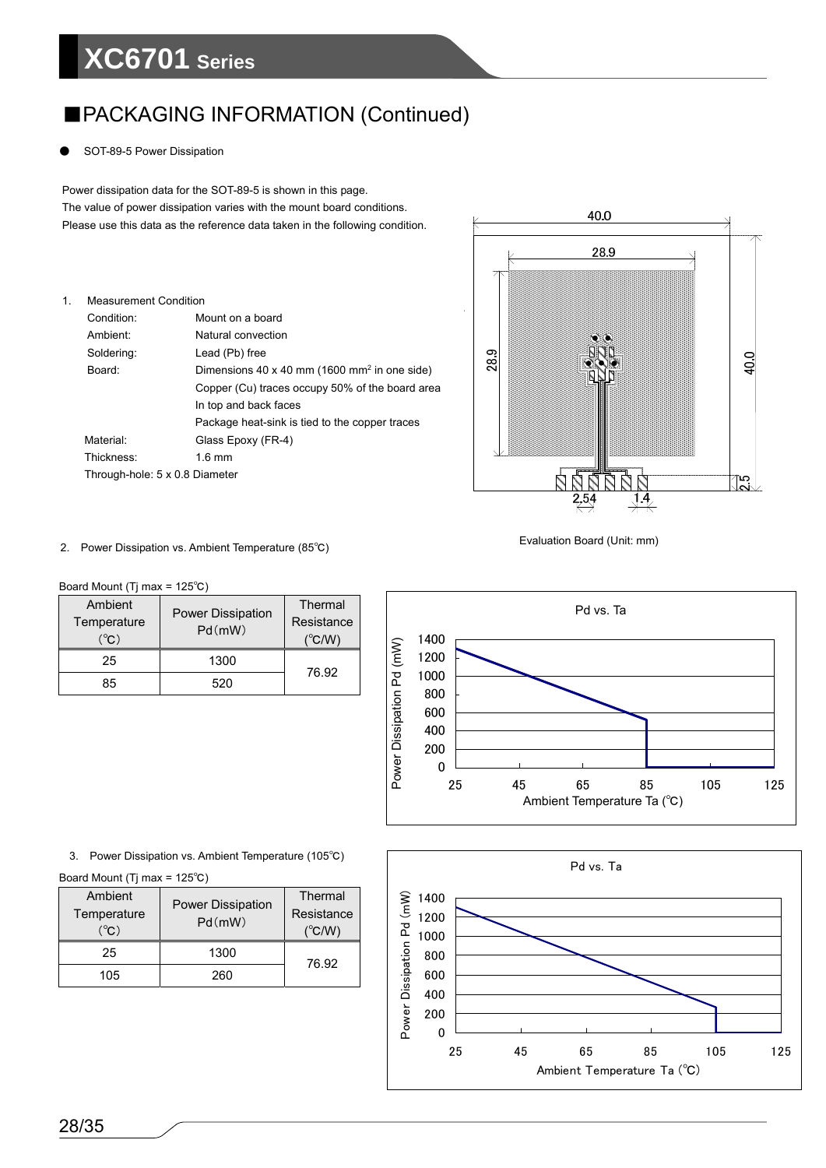# **XC6701 Series**

### ■PACKAGING INFORMATION (Continued)

SOT-89-5 Power Dissipation

Power dissipation data for the SOT-89-5 is shown in this page. The value of power dissipation varies with the mount board conditions. Please use this data as the reference data taken in the following condition.

| 1. | <b>Measurement Condition</b>   |                                                          |
|----|--------------------------------|----------------------------------------------------------|
|    | Condition:                     | Mount on a board                                         |
|    | Ambient:                       | Natural convection                                       |
|    | Soldering:                     | Lead (Pb) free                                           |
|    | Board:                         | Dimensions 40 x 40 mm (1600 mm <sup>2</sup> in one side) |
|    |                                | Copper (Cu) traces occupy 50% of the board area          |
|    |                                | In top and back faces                                    |
|    |                                | Package heat-sink is tied to the copper traces           |
|    | Material:                      | Glass Epoxy (FR-4)                                       |
|    | Thickness:                     | $1.6 \text{ mm}$                                         |
|    | Through-hole: 5 x 0.8 Diameter |                                                          |



Evaluation Board (Unit: mm) 2. Power Dissipation vs. Ambient Temperature (85℃)

Board Mount (Tj max = 125℃)

| Ambient                            | <b>Power Dissipation</b><br>Pd(mW) | Thermal             |
|------------------------------------|------------------------------------|---------------------|
| Temperature<br>$(^\circ\!{\rm C})$ |                                    | Resistance<br>′℃/W) |
| 25                                 | 1300                               |                     |
| 85                                 | 520                                | 76.92               |



Board Mount (Tj max = 125℃)

| Ambient<br>Temperature<br>$(^{\circ}\mathrm{C})$ | <b>Power Dissipation</b><br>Pd(mW) | Thermal<br>Resistance<br>(°C/W) |
|--------------------------------------------------|------------------------------------|---------------------------------|
| 25                                               | 1300                               | 76.92                           |
| 105                                              | 260                                |                                 |

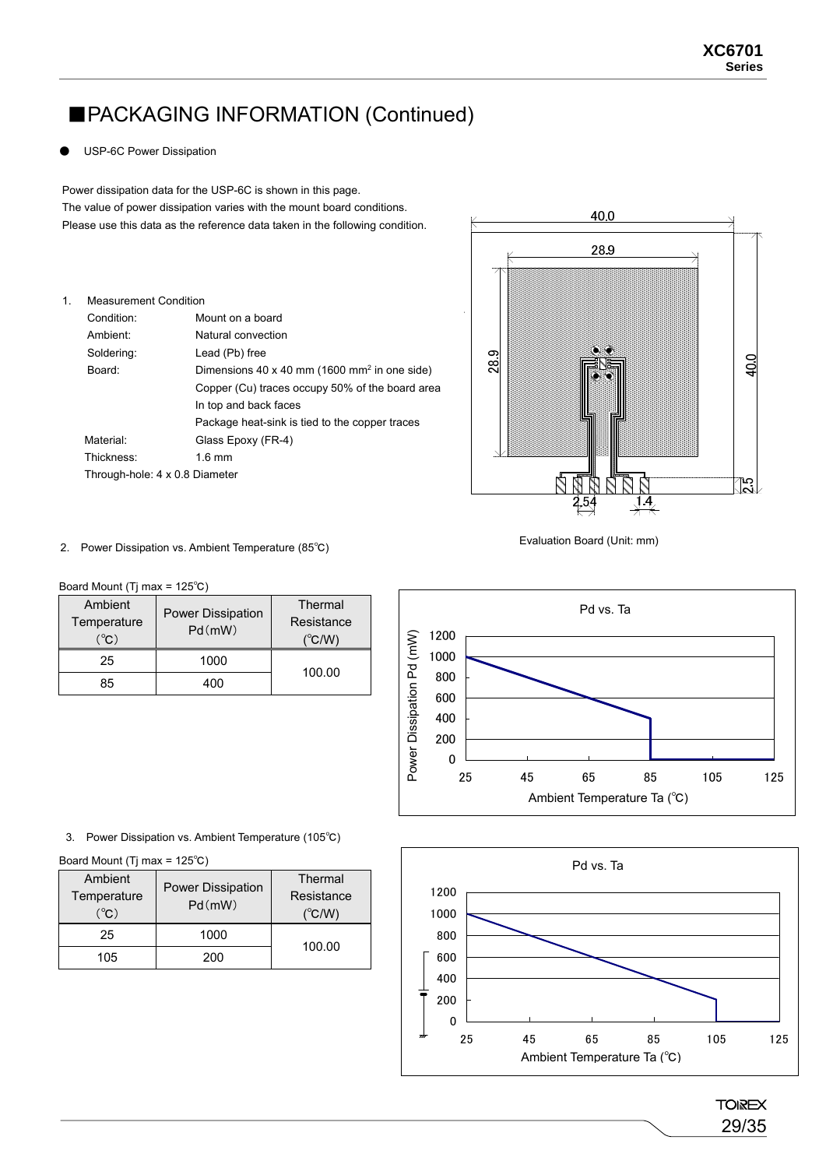### ■PACKAGING INFORMATION (Continued)

**USP-6C Power Dissipation** 

Power dissipation data for the USP-6C is shown in this page. The value of power dissipation varies with the mount board conditions. Please use this data as the reference data taken in the following condition.

| 1. | <b>Measurement Condition</b>   |                                                          |
|----|--------------------------------|----------------------------------------------------------|
|    |                                |                                                          |
|    | Condition:                     | Mount on a board                                         |
|    | Ambient:                       | Natural convection                                       |
|    | Soldering:                     | Lead (Pb) free                                           |
|    | Board:                         | Dimensions 40 x 40 mm (1600 mm <sup>2</sup> in one side) |
|    |                                | Copper (Cu) traces occupy 50% of the board area          |
|    |                                | In top and back faces                                    |
|    |                                | Package heat-sink is tied to the copper traces           |
|    | Material:                      | Glass Epoxy (FR-4)                                       |
|    | Thickness:                     | $1.6 \text{ mm}$                                         |
|    | Through-hole: 4 x 0.8 Diameter |                                                          |



Evaluation Board (Unit: mm) 2. Power Dissipation vs. Ambient Temperature (85℃)

Board Mount (Tj max = 125℃)

| Ambient<br>Temperature<br>(°C) | Power Dissipation<br>Pd(mW) | Thermal<br>Resistance<br>(°C/W) |
|--------------------------------|-----------------------------|---------------------------------|
| 25                             | 1000                        | 100.00                          |
| 85                             | 1በበ                         |                                 |



3. Power Dissipation vs. Ambient Temperature (105℃)

Board Mount (Tj max = 125℃)

| Ambient<br>Temperature<br>$({}^{\circ}\mathsf{C})$ | <b>Power Dissipation</b><br>Pd(mW) | Thermal<br>Resistance<br>$(^{\circ}C/W)$ |
|----------------------------------------------------|------------------------------------|------------------------------------------|
| 25                                                 | 1000                               | 100.00                                   |
| 105                                                | 200                                |                                          |



**TOIREX** 29/35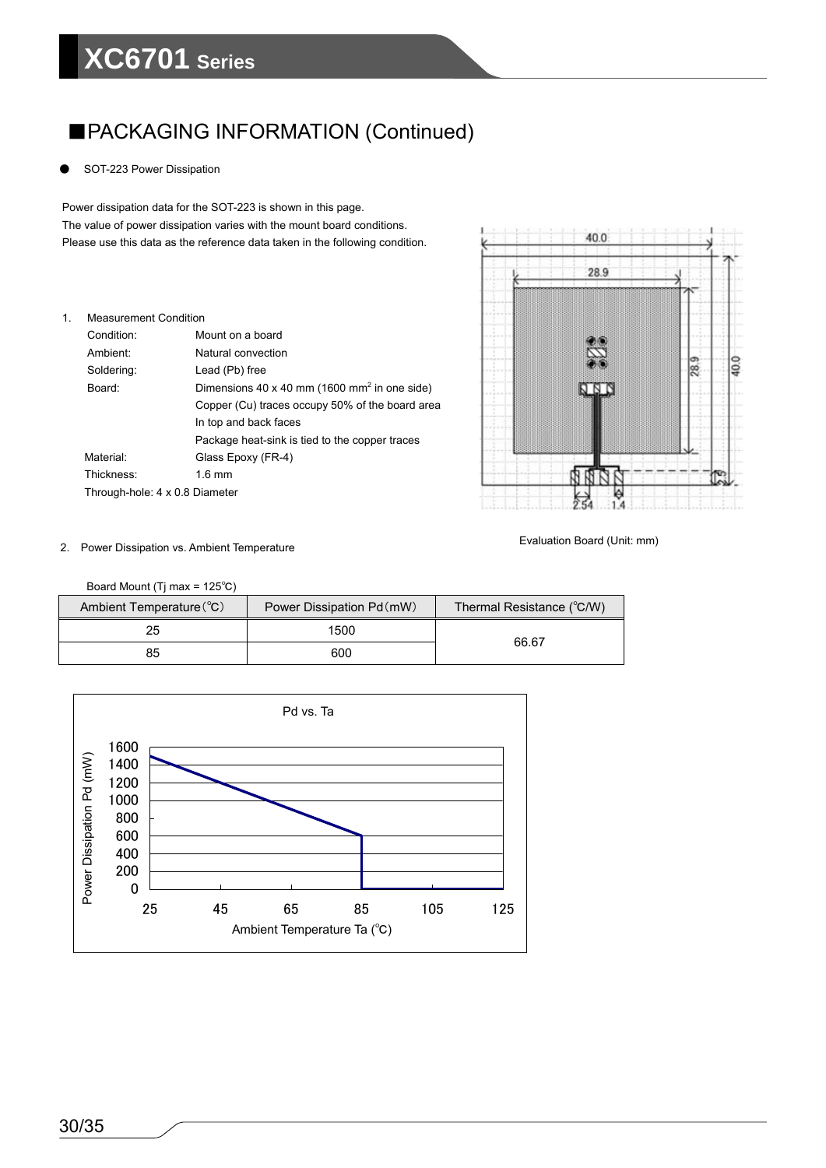# **XC6701 Series**

## ■PACKAGING INFORMATION (Continued)

SOT-223 Power Dissipation

Power dissipation data for the SOT-223 is shown in this page. The value of power dissipation varies with the mount board conditions. Please use this data as the reference data taken in the following condition.

| 1. | <b>Measurement Condition</b>   |                                                          |
|----|--------------------------------|----------------------------------------------------------|
|    | Condition:                     | Mount on a board                                         |
|    | Ambient <sup>.</sup>           | Natural convection                                       |
|    | Soldering:                     | Lead (Pb) free                                           |
|    | Board:                         | Dimensions 40 x 40 mm (1600 mm <sup>2</sup> in one side) |
|    |                                | Copper (Cu) traces occupy 50% of the board area          |
|    |                                | In top and back faces                                    |
|    |                                | Package heat-sink is tied to the copper traces           |
|    | Material:                      | Glass Epoxy (FR-4)                                       |
|    | Thickness:                     | $16 \text{ mm}$                                          |
|    | Through-hole: 4 x 0.8 Diameter |                                                          |



Evaluation Board (Unit: mm) 2. Power Dissipation vs. Ambient Temperature

Board Mount (Tj max = 125℃)

| $120$ and modiff (ii) max $-120$ O |                           |                           |
|------------------------------------|---------------------------|---------------------------|
| Ambient Temperature (°C)           | Power Dissipation Pd (mW) | Thermal Resistance (°C/W) |
| 25                                 | 1500                      | 66.67                     |
| 85                                 | 600                       |                           |

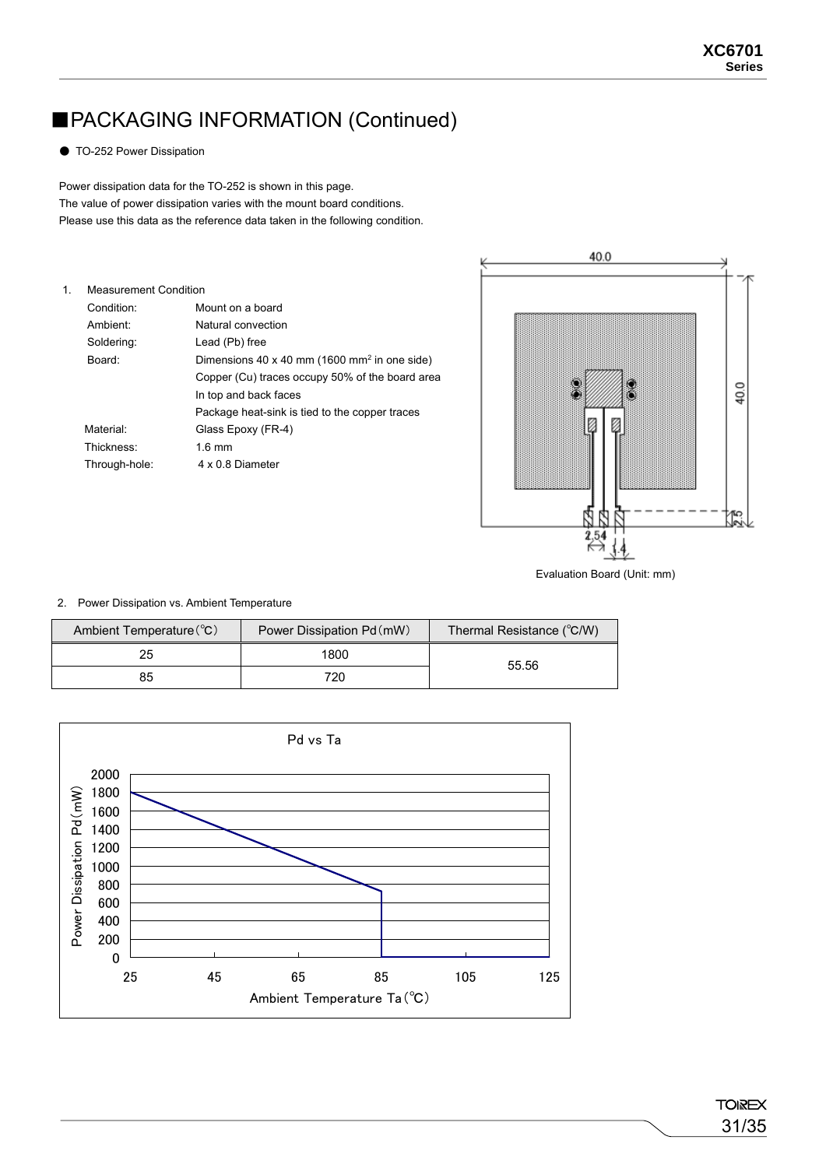# ■PACKAGING INFORMATION (Continued)

● TO-252 Power Dissipation

Power dissipation data for the TO-252 is shown in this page. The value of power dissipation varies with the mount board conditions. Please use this data as the reference data taken in the following condition.

| 1. | <b>Measurement Condition</b> |                                                          |  |  |
|----|------------------------------|----------------------------------------------------------|--|--|
|    | Condition:                   | Mount on a board                                         |  |  |
|    | Ambient <sup>.</sup>         | Natural convection                                       |  |  |
|    | Soldering:                   | Lead (Pb) free                                           |  |  |
|    | Board:                       | Dimensions 40 x 40 mm (1600 mm <sup>2</sup> in one side) |  |  |
|    |                              | Copper (Cu) traces occupy 50% of the board area          |  |  |
|    |                              | In top and back faces                                    |  |  |
|    |                              | Package heat-sink is tied to the copper traces           |  |  |
|    | Material:                    | Glass Epoxy (FR-4)                                       |  |  |
|    | Thickness:                   | $16 \text{ mm}$                                          |  |  |
|    | Through-hole:                | 4 x 0.8 Diameter                                         |  |  |
|    |                              |                                                          |  |  |



Evaluation Board (Unit: mm)

#### 2. Power Dissipation vs. Ambient Temperature

| Ambient Temperature (°C) | Power Dissipation Pd (mW) | Thermal Resistance (°C/W) |  |
|--------------------------|---------------------------|---------------------------|--|
| 25                       | 1800                      | 55.56                     |  |
| 85                       | 720                       |                           |  |

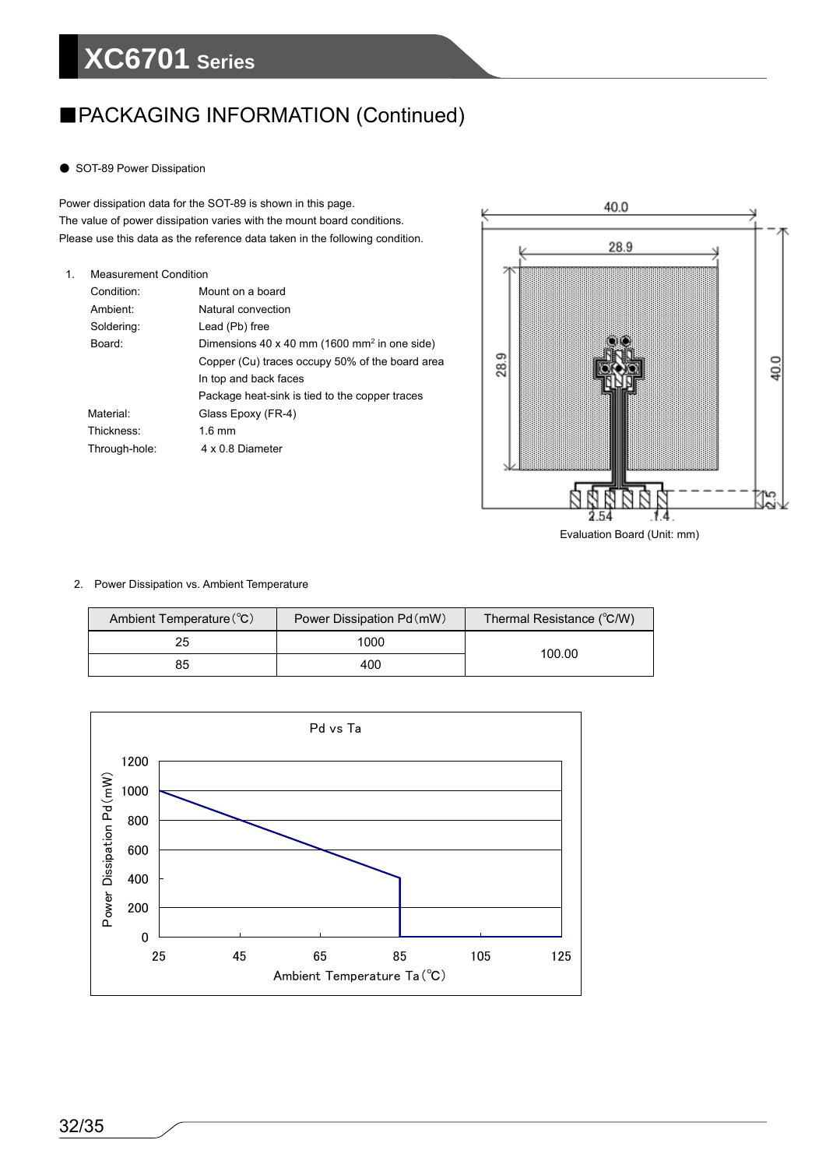# **XC6701 Series**

### ■PACKAGING INFORMATION (Continued)

● SOT-89 Power Dissipation

Power dissipation data for the SOT-89 is shown in this page. The value of power dissipation varies with the mount board conditions. Please use this data as the reference data taken in the following condition.

| 1. | <b>Measurement Condition</b> |                                                          |  |  |
|----|------------------------------|----------------------------------------------------------|--|--|
|    | Condition:                   | Mount on a board                                         |  |  |
|    | Ambient:                     | Natural convection                                       |  |  |
|    | Soldering:                   | Lead (Pb) free                                           |  |  |
|    | Board:                       | Dimensions 40 x 40 mm (1600 mm <sup>2</sup> in one side) |  |  |
|    |                              | Copper (Cu) traces occupy 50% of the board area          |  |  |
|    |                              | In top and back faces                                    |  |  |
|    |                              | Package heat-sink is tied to the copper traces           |  |  |
|    | Material:                    | Glass Epoxy (FR-4)                                       |  |  |
|    | Thickness:                   | $1.6$ mm                                                 |  |  |
|    | Through-hole:                | 4 x 0 8 Diameter                                         |  |  |
|    |                              |                                                          |  |  |



#### 2. Power Dissipation vs. Ambient Temperature

| Ambient Temperature (°C) | Power Dissipation Pd (mW) | Thermal Resistance (°C/W) |  |
|--------------------------|---------------------------|---------------------------|--|
| 25                       | 1000                      |                           |  |
| 85                       | 400                       | 100.00                    |  |

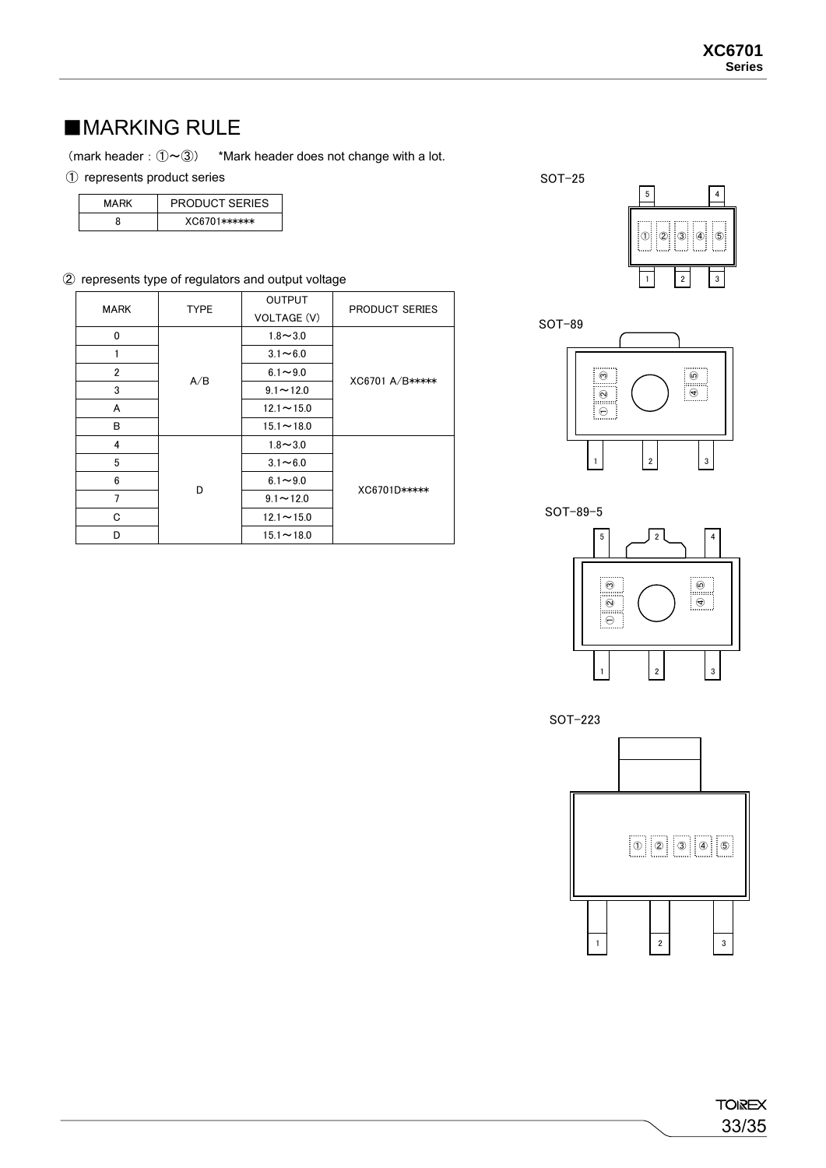### ■MARKING RULE

(mark header:  $\mathcal{D} \sim 3$ ) \*Mark header does not change with a lot.

#### ① represents product series

| MARK | <b>PRODUCT SERIES</b> |  |  |  |
|------|-----------------------|--|--|--|
|      | $XCG6701$ ******      |  |  |  |

#### ② represents type of regulators and output voltage

| <b>MARK</b>  | <b>TYPE</b>                                                | <b>OUTPUT</b>    | <b>PRODUCT SERIES</b> |  |
|--------------|------------------------------------------------------------|------------------|-----------------------|--|
|              |                                                            | VOLTAGE (V)      |                       |  |
| $\mathbf{0}$ | 1<br>2<br>A/B<br>3<br>A<br>В<br>4<br>5<br>6<br>D<br>7<br>C | $1.8 - 3.0$      |                       |  |
|              |                                                            | $3.1 - 6.0$      |                       |  |
|              |                                                            | $6.1 - 9.0$      |                       |  |
|              |                                                            | $9.1 - 12.0$     | XC6701 A/B*****       |  |
|              |                                                            | $12.1 - 15.0$    |                       |  |
|              |                                                            | $15.1 - 18.0$    |                       |  |
|              |                                                            | $1.8 - 3.0$      |                       |  |
|              |                                                            | $3.1 - 6.0$      |                       |  |
|              |                                                            | $6.1 - 9.0$      |                       |  |
|              |                                                            | $9.1 - 12.0$     | XC6701D*****          |  |
|              |                                                            | $12.1 \sim 15.0$ |                       |  |
| D            |                                                            | $15.1 - 18.0$    |                       |  |

SOT-25





SOT-89-5



SOT-223

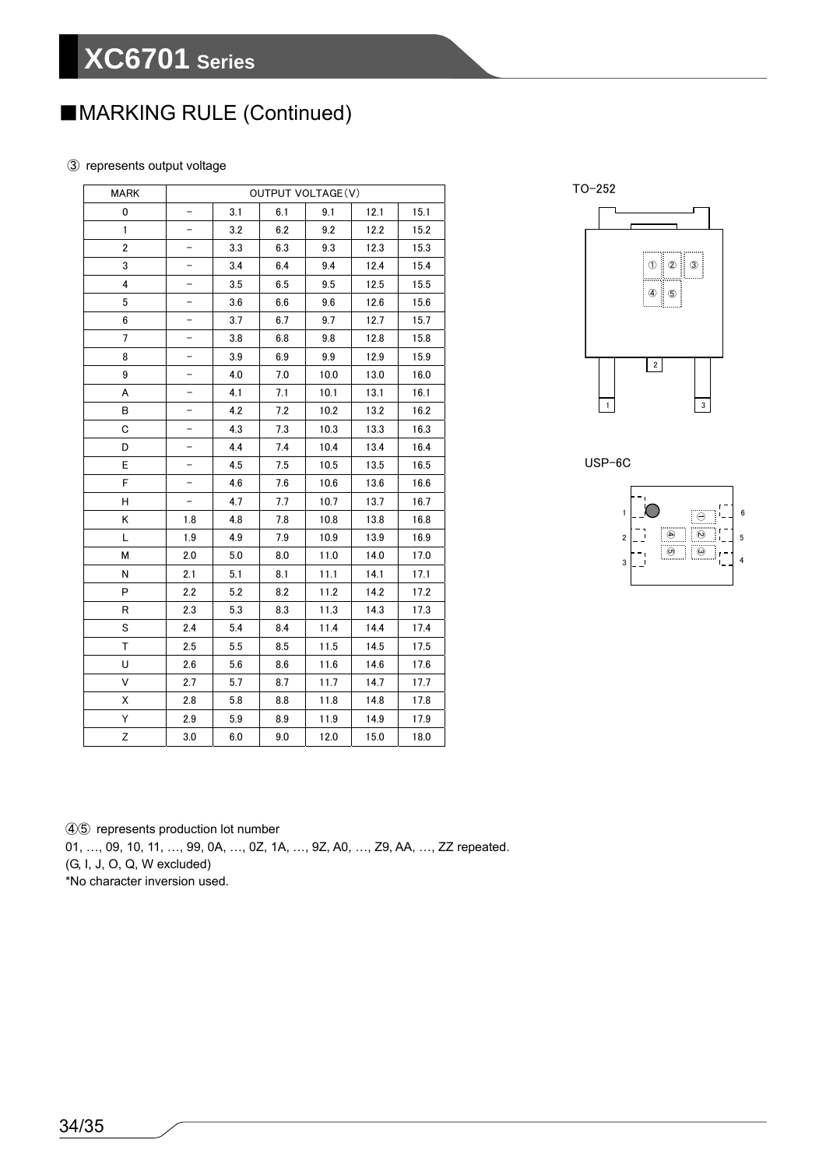# ■MARKING RULE (Continued)

#### ③ represents output voltage

| <b>MARK</b>    | OUTPUT VOLTAGE(V)        |     |     |      |      |      |
|----------------|--------------------------|-----|-----|------|------|------|
| 0              |                          | 3.1 | 6.1 | 9.1  | 12.1 | 15.1 |
| 1              | $\overline{\phantom{0}}$ | 3.2 | 6.2 | 9.2  | 12.2 | 15.2 |
| $\overline{2}$ |                          | 3.3 | 6.3 | 9.3  | 12.3 | 15.3 |
| 3              |                          | 3.4 | 6.4 | 9.4  | 12.4 | 15.4 |
| 4              | -                        | 3.5 | 6.5 | 9.5  | 12.5 | 15.5 |
| 5              |                          | 3.6 | 6.6 | 9.6  | 12.6 | 15.6 |
| 6              | -                        | 3.7 | 6.7 | 9.7  | 12.7 | 15.7 |
| 7              |                          | 3.8 | 6.8 | 9.8  | 12.8 | 15.8 |
| 8              | -                        | 3.9 | 6.9 | 9.9  | 12.9 | 15.9 |
| 9              | $\overline{\phantom{0}}$ | 4.0 | 7.0 | 10.0 | 13.0 | 16.0 |
| A              |                          | 4.1 | 7.1 | 10.1 | 13.1 | 16.1 |
| в              | -                        | 4.2 | 7.2 | 10.2 | 13.2 | 16.2 |
| C              |                          | 4.3 | 7.3 | 10.3 | 13.3 | 16.3 |
| D              | <sup>-</sup>             | 4.4 | 7.4 | 10.4 | 13.4 | 16.4 |
| E              |                          | 4.5 | 7.5 | 10.5 | 13.5 | 16.5 |
| F              |                          | 4.6 | 7.6 | 10.6 | 13.6 | 16.6 |
| н              | $\overline{\phantom{0}}$ | 4.7 | 7.7 | 10.7 | 13.7 | 16.7 |
| Κ              | 1.8                      | 4.8 | 7.8 | 10.8 | 13.8 | 16.8 |
| L              | 1.9                      | 4.9 | 7.9 | 10.9 | 13.9 | 16.9 |
| М              | 2.0                      | 5.0 | 8.0 | 11.0 | 14.0 | 17.0 |
| N              | 2.1                      | 5.1 | 8.1 | 11.1 | 14.1 | 17.1 |
| P              | 2.2                      | 5.2 | 8.2 | 11.2 | 14.2 | 17.2 |
| R              | 2.3                      | 5.3 | 8.3 | 11.3 | 14.3 | 17.3 |
| S              | 2.4                      | 5.4 | 8.4 | 11.4 | 14.4 | 17.4 |
| T              | 2.5                      | 5.5 | 8.5 | 11.5 | 14.5 | 17.5 |
| U              | 2.6                      | 5.6 | 8.6 | 11.6 | 14.6 | 17.6 |
| V              | 2.7                      | 5.7 | 8.7 | 11.7 | 14.7 | 17.7 |
| Χ              | 2.8                      | 5.8 | 8.8 | 11.8 | 14.8 | 17.8 |
| Υ              | 2.9                      | 5.9 | 8.9 | 11.9 | 14.9 | 17.9 |
| Z              | 3.0                      | 6.0 | 9.0 | 12.0 | 15.0 | 18.0 |

TO-252



USP-6C



④⑤ represents production lot number

01, …, 09, 10, 11, …, 99, 0A, …, 0Z, 1A, …, 9Z, A0, …, Z9, AA, …, ZZ repeated.

(G, I, J, O, Q, W excluded)

\*No character inversion used.